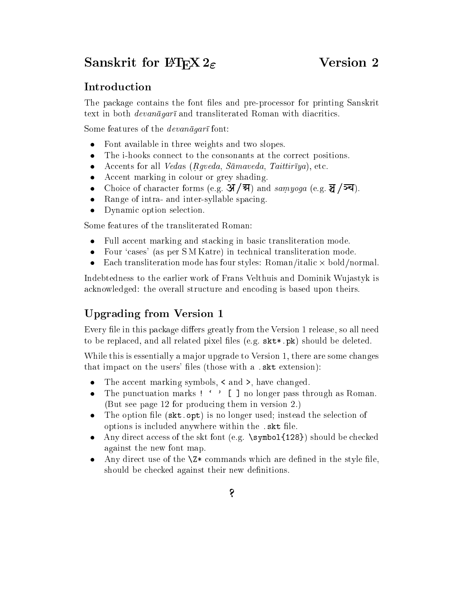# $\alpha$ liskrit for E-H $\alpha$   $\geq$

# Introduction

The package contains the font files and pre-processor for printing Sanskrit text in both *devanagar* and transliterated Roman with diacritics.

Some features of the  $devan\bar{a}gar\bar{a}$  font:

- $\bullet$ Font available in three weights and two slopes.
- The i-hooks connect to the consonants at the correct positions.
- Accents for all *Vedas* (*Rgveda, Samaveda, Taittiriya*), etc.  $\bullet$
- Accent marking in colour or grey shading.  $\bullet$
- Choice of character forms (e.g.  $\mathcal{A}/\mathcal{A}$ ) and samyoga (e.g.  $\mathcal{A}/\mathcal{A}$ ).
- Range of intra- and inter-syllable spacing.  $\bullet$
- Dynamic option selection.

Some features of the transliterated Roman:

- Full accent marking and stacking in basic transliteration mode.  $\bullet$
- Four 'cases' (as per SM Katre) in technical transliteration mode.
- Each transliteration mode has four styles: Roman/italic bold/normal.

Indebtedness to the earlier work of Frans Velthuis and Dominik Wujastyk is acknowledged: the overall structure and encoding is based upon theirs.

# Upgrading from Version 1

Every file in this package differs greatly from the Version 1 release, so all need to be replaced, and all related pixel files (e.g.  $\texttt{skt}$ ,  $pk$ ) should be deleted.

While this is essentially a major upgrade to Version 1, there are some changes that impact on the users' files (those with a .skt extension):

- The accent marking symbols,  $\lt$  and  $\gt$ , have changed.
- The punctuation marks  $!$   $\cdot$   $\cdot$  [ ] no longer pass through as Roman. (But see page 12 for producing them in version 2.)
- The option file (skt.opt) is no longer used; instead the selection of  $\bullet$ options is included anywhere within the .skt file.
- Any direct access of the skt font (e.g.  $\sum_{s}$ ) should be checked against the new font map.
- Any direct use of the  $\mathsf{X}^*$  commands which are defined in the style file, should be checked against their new definitions.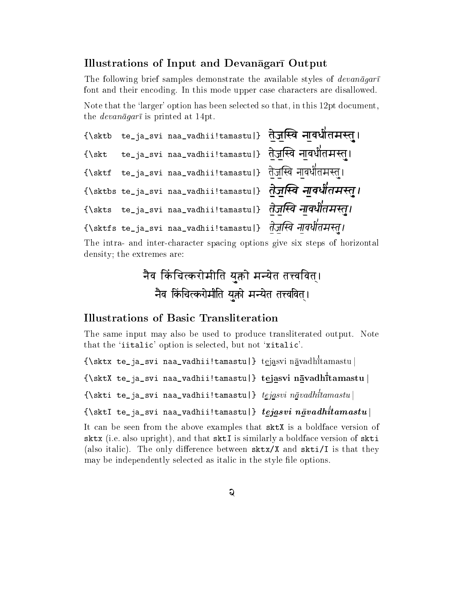### Illustrations of Input and Devanagari Output

The following brief samples demonstrate the available styles of  $devan\bar{a}gar\bar{\iota}$ font and their encoding. In this mode upper case characters are disallowed.

Note that the 'larger' option has been selected so that, in this 12pt document, the *devanagari* is printed at 14pt.

```
{\sktb te_ja_svi naa_vadhii!tamastu|} .te!a.j!a://a.~va na.!a:va:D-
a.a:ta:ma:~tua Á
{\skt te_ja_svi naa_vadhii!tamastu|} .te!a.j!a://a.~va na.!a:va:D-
a.a:ta:ma:~tua Á
{\sktf te_ja_svi naa_vadhii!tamastu|} .te!a.j!a://a.~va na.!a:va:D-
a.a:ta:ma:~tua Á
{\sktbs te_ja_svi naa_vadhii!tamastu|} .te!a.j!a://a.~va na.!a:va:D-
a.a:ta:ma:~tua Á
\sim . The statistical term is the statistic analysis . The statistic analysis of \sim \sim\sim , the tellar tellar terms in a state and the state \sim . The state \sim and \sim
```
The intra- and inter-character spacing options give six steps of horizontal density; the extremes are:

```
.nEa;va ;
a;kM +:a;.ca;tk+.=+ea;ma;a;a;ta yua;+:ea ma;nyea;ta ta:va;
a;va;t,a Á
   .<br>नैव किंचित्करोमीति यक्तो मन्येत तत्त्ववित।
```
### Illustrations of Basic Transliteration

The same input may also be used to produce transliterated output. Note that the 'iitalic' option is selected, but not 'xitalic'.

{\sktx te\_ja\_svi naa\_vadhii!tamastu|} tejasvi navadh tamastu <sup>j</sup>

{\sktX te\_ja\_svi naa\_vadhii!tamastu|} tejasvi navadh tamastu <sup>j</sup>

 $\{\$ skti te ja svi naa vadhii!tamastu $\}$  tejasvi navadh $\bar{t}$ tamastu $\}$ 

 $\{ \setminus \texttt{sktl te} \mid \texttt{ie} \}$  tegasvi na $v$ adhii! $\texttt{t}$ amastu $\mid$ 

It can be seen from the above examples that sktX is a boldface version of sktx (i.e. also uppright), and that skills a boldface version of skills a skills a boldface version of skills (also italic). The only difference between  $sktx/X$  and  $skti/I$  is that they may be independently selected as italic in the style file options.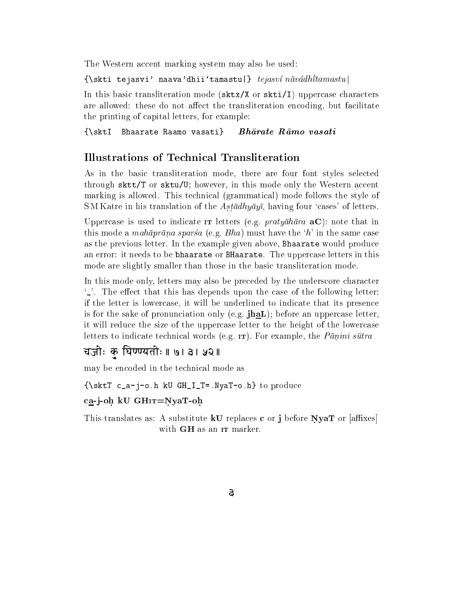The Western accent marking system may also be used:

 $\{\setminus$ skti tejasvi' naava'dhii'tamastu|} tejasví n $\bar{a}v\acute{a}dh\bar{t}tamastu$ |

In this basic transliteration mode ( $sktx/X$  or  $skti/I$ ) uppercase characters are allowed: these do not affect the transliteration encoding, but facilitate the printing of capital letters, for example:

 ${\sf E}$  because  ${\sf E}$  because  ${\sf E}$  because  ${\sf E}$  because  ${\sf E}$ 

# Illustrations of Technical Transliteration

As in the basic transliteration mode, there are four font styles selected through sktt/T or sktu/U; however, in this mode only the Western accent marking is allowed. This technical (grammatical) mode follows the style of SM Katre in his translation of the  $A$ stādhyāyī, having four 'cases' of letters.

Uppercase is used to indicate IT letters (e.g.  $prightarrow\bar{a}$  aC): note that in this mode a *mahaprana sparsa* (e.g. *Bha*) must have the 'h' in the same case as the previous letter. In the example given above, Bhaarate would produce an error: it needs to be bhaarate or BHaarate. The uppercase letters in this mode are slightly smaller than those in the basic transliteration mode.

In this mode only, letters may also be preceded by the underscore character  $\mathcal{L}$ . The effect that this has depends upon the case of the following letter: if the letter is lowercase, it will be underlined to indicate that its presence is for the sake of pronunciation only (e.g.  $\text{ihal}$ ); before an uppercase letter, it will reduce the size of the uppercase letter to the height of the lowercase letters to indicate technical words (e.g.  $I$ T). For example, the *Pānini sūtra* 

चजोः क घिण्ण्यतोः ॥ ७। ३। ५२ ॥

may be encoded in the technical mode as

 ${\bf r}_a$  , we can consider the produce  ${\bf r}_a$  and  ${\bf r}_a$  and  ${\bf r}_a$  is produced to produce

### ca-j-oh kU GHIT=NyaT-oh.

This translates as: A substitute **kU** replaces c or j before NyaT or  $\alpha$  affixes with **GH** as an IT marker.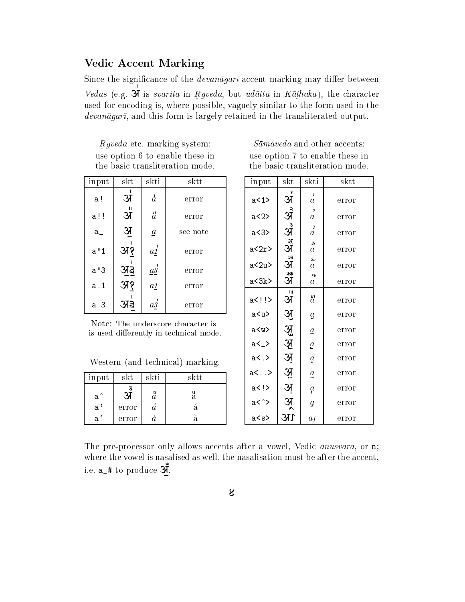# **Vedic Accent Marking**

Since the significance of the *devanagari* accent marking may differ between Vedas (e.g.  $\overrightarrow{X}$  is *svarita* in *Rgveda*, but *udatta* in *Kathaka*), the character used for encoding is, where possible, vaguely similar to the form used in the  $devan\bar{a}gar\bar{i}$ , and this form is largely retained in the transliterated output.

Rgveda etc. marking system: use option 6 to enable these in the basic transliteration mode.

| input | skt            | skti            | $_{\rm sktt}$ |
|-------|----------------|-----------------|---------------|
| a!    | अ              | $\overline{d}$  | error         |
| a!!   | अँ             | $\ddot{a}$      | error         |
| a_    | $\mathfrak{R}$ | $\underline{a}$ | see note      |
| a''1  | अ१             | $a_1'$          | error         |
| a''3  | अइ             | $a_2^{\prime}$  | error         |
| a. 1  | अ१             | $a_1$           | error         |
| a.3   | 31ನ            | $a_2^{\prime}$  | error         |

Note: The underscore character is is used differently in technical mode.

Western (and technical) marking.

| input        | skt   | skti                      | $_{\rm sktt}$ |
|--------------|-------|---------------------------|---------------|
| $a^{\frown}$ |       | $\boldsymbol{\mathit{u}}$ | а             |
| a'           | error |                           |               |
| а            | error |                           |               |

 $S\bar{a}$  maved a and other accents: use option 7 to enable these in the basic transliteration mode.

| $_{\mathrm{input}}$ | $_{\rm skt}$      | $_{\rm skti}$                      | sktt  |
|---------------------|-------------------|------------------------------------|-------|
| a < 1               | ş<br>अ            | 1<br>a                             | error |
| a<2>                | $\frac{1}{3}$     | $\overline{c}$<br>$\boldsymbol{a}$ | error |
| a <sub>3</sub>      | ू<br>रि           | 3<br>$\boldsymbol{a}$              | error |
| a<2r>               | रू<br>अ           | 2r<br>a                            | error |
| a<2u                | 33<br>अ           | 2u<br>a                            | error |
| a<3k>               | ३क<br>अ           | 3k<br>$\it a$                      | error |
| a !                 | $\mathbf{u}$<br>अ | $\ddot{a}$                         | error |
| a <u></u>           | अु                | $\boldsymbol{\mathit{g}}$          | error |
| a <w></w>           |                   | $\underline{a}$                    | error |
| a<_>                | अं अ              | $\underline{a}$                    | error |
| a<.                 | अं                | $\boldsymbol{a}$                   | error |
| a<>                 | <u>अ</u> ़        | $a_{\bullet}$                      | error |
| $a$ < $\ge$         | <u>अ्</u>         | $\mathfrak{a}$                     | error |
| a<^>                | <u>अ</u>          | ă                                  | error |
| a <s></s>           | UE                | aſ                                 | error |

The pre-processor only allows accents after a vowel, Vedic *anusvara*, or n; where the vowel is nasalised as well, the nasalisation must be after the accent. i.e.  $a_+$  to produce  $\mathbf{X}$ .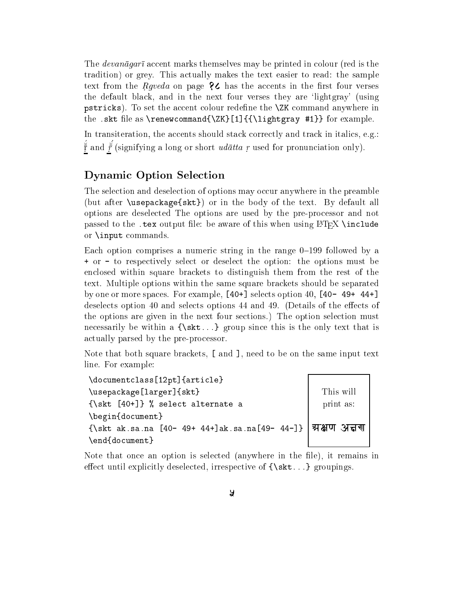The *devanagar* accent marks themselves may be printed in colour (red is the tradition) or grey. This actually makes the text easier to read: the sample text from the *Rgveda* on page  $\&$  has the accents in the first four verses the default black, and in the next four verses they are `lightgray' (using pstricks). To set the accent colour redene the \ZK command anywhere in the .skt file as \renewcommand{\ZK}[1]{{\lightgray #1}} for example.

In transiteration, the accents should stack correctly and track in italics, e.g.: r and r (signifying a long or short *udatta r* used for pronunciation only).

# Dynamic Option Selection

The selection and deselection of options may occur anywhere in the preamble (but after \usepackage{skt}) or in the body of the text. By default all options are deselected The options are used by the pre-processor and not passed to the .tex output file: be aware of this when using LATEX \include or \input commands.

Each option comprises a numeric string in the range  $0-199$  followed by a + or - to respectively select or deselect the option: the options must be enclosed within square brackets to distinguish them from the rest of the text. Multiple options within the same square brackets should be separated by one or more spaces. For example, [40+] selects option 40, [40- 49+ 44+] deselects option 40 and selects options 44 and 49. (Details of the effects of the options are given in the next four sections.) The option selection must necessarily be within a  ${\text{Skt...}}$  group since this is the only text that is actually parsed by the pre-processor.

Note that both square brackets, [ and ], need to be on the same input text line. For example:

| \documentclass[12pt]{article}                                  |           |  |
|----------------------------------------------------------------|-----------|--|
| \usepackage[larger]{skt}                                       | This will |  |
| $\{\ast t [40+] \}$ % select alternate a                       | print as: |  |
| \begin{document}                                               |           |  |
| {\skt ak.sa.na [40- 49+ 44+]ak.sa.na[49- 44-]}   अक्षण अत्तर्ण |           |  |
| \end{document}                                                 |           |  |

Note that once an option is selected (anywhere in the file), it remains in effect until explicitly deselected, irrespective of  $\{ \text{skt} \dots \}$  groupings.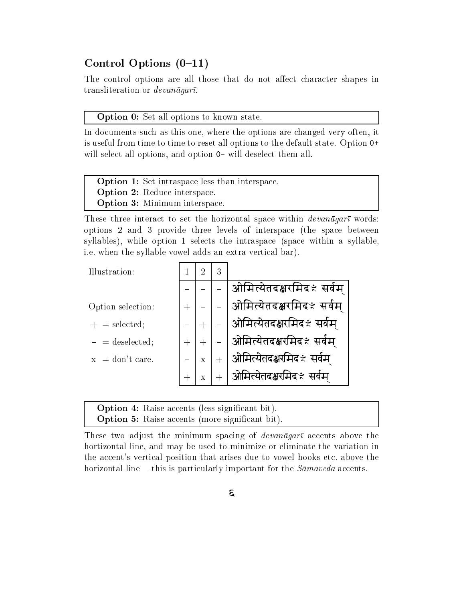# Control Options  $(0-11)$

The control options are all those that do not affect character shapes in transliteration or  $devan\bar{a}qar\bar{b}$ .

Option 0: Set all options to known state.

In documents such as this one, where the options are changed very often, it is useful from time to time to reset all options to the default state. Option 0+ will select all options, and option  $0-$  will deselect them all.

| <b>Option 1:</b> Set intraspace less than interspace. |  |
|-------------------------------------------------------|--|
| <b>Option 2:</b> Reduce interspace.                   |  |
| <b>Option 3:</b> Minimum interspace.                  |  |

These three interact to set the horizontal space within  $devan\bar{a}gar\bar{i}$  words: options 2 and 3 provide three levels of interspace (the space between syllables), while option 1 selects the intraspace (space within a syllable, i.e. when the syllable vowel adds an extra vertical bar).



| <b>Option 4:</b> Raise accents (less significant bit). |  |
|--------------------------------------------------------|--|
| <b>Option 5:</b> Raise accents (more significant bit). |  |

These two adjust the minimum spacing of *devanagara* accents above the hortizontal line, and may be used to minimize or eliminate the variation in the accent's vertical position that arises due to vowel hooks etc. above the horizontal line — this is particularly important for the  $S\bar{a}$  accents.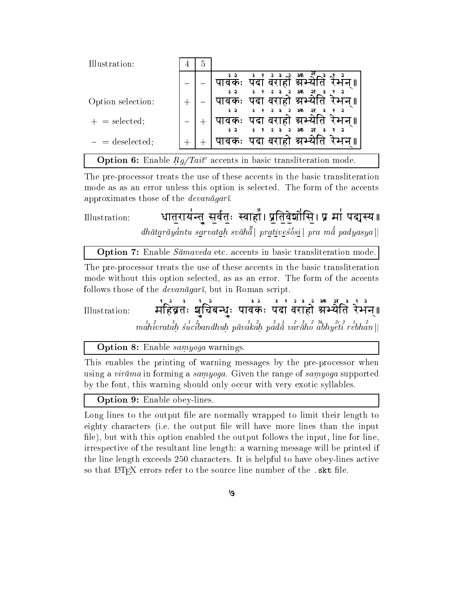| Illustration:     | 4 | .5 |                                                                                  |
|-------------------|---|----|----------------------------------------------------------------------------------|
|                   |   |    | ३क                                                                               |
| Option selection: |   |    | पदा वराहो स्रभ्य<br>।वकः                                                         |
|                   |   |    | ३क                                                                               |
| $+$ = selected;   |   |    | पदा वराहो स्रभ्य<br>ावकः<br>3क                                                   |
| $=$ deselected;   |   |    | पदा वराहो अ्च<br>पावकः                                                           |
|                   |   |    | <b>Option 6:</b> Enable $Rg/Tait^{\circ}$ accents in basic transliteration mode. |

The pre-processor treats the use of these accents in the basic transliteration mode as as an error unless this option is selected. The form of the accents approximates those of the *devanagari*.

धातुरायंन्तु सुर्वतुः स्वाहां। प्रतिवेशोसि। प्र मां पद्मस्य । Illustration:  $dh\bar{a}tar\bar{a}y\bar{d}ntu savvatah s\bar{v}\bar{a}h\bar{d}$  pratives $\bar{b}si$  pra m $\bar{d}$  padyasya ||

**Option 7:** Enable  $S\bar{a}$ *maveda* etc. accents in basic transliteration mode.

The pre-processor treats the use of these accents in the basic transliteration mode without this option selected, as as an error. The form of the accents follows those of the *devanagari*, but in Roman script

न्दुत्र के दुव्य का स्वतं के स्वतं के स्वतं है ।<br>महिब्रतः शुचिबन्धुः पावकः पदा वराहो अभ्येति रेभन्॥ Illustration:  $\{m\}$ andhivratah sucibandhuh pāvakah padā varāho abhyeti rebhan $||m\|$ 

**Option 8:** Enable samyoga warnings.

This enables the printing of warning messages by the pre-processor when using a virama in forming a samyoga. Given the range of samyoga supported by the font, this warning should only occur with very exotic syllables.

**Option 9:** Enable obey-lines.

Long lines to the output file are normally wrapped to limit their length to eighty characters (i.e. the output file will have more lines than the input file), but with this option enabled the output follows the input, line for line. irrespective of the resultant line length: a warning message will be printed if the line length exceeds 250 characters. It is helpful to have obey-lines active so that LAT<sub>F</sub>X errors refer to the source line number of the skt file.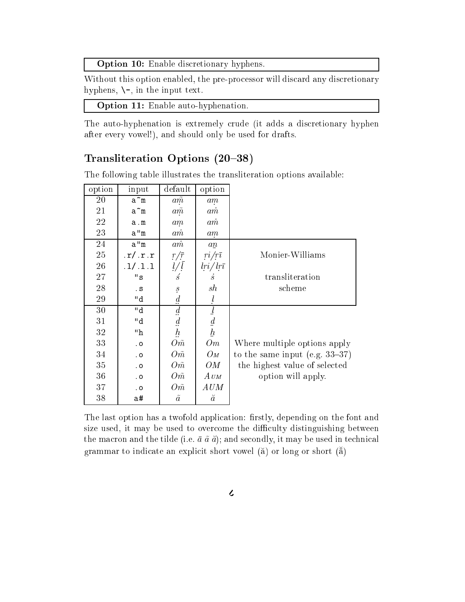Option 10: Enable discretionary hyphens.

Without this option enabled, the pre-processor will discard any discretionary hyphens,  $\setminus$ -, in the input text.

Option 11: Enable auto-hyphenation.

The auto-hyphenation is extremely crude (it adds a discretionary hyphen after every vowel!), and should only be used for drafts.

## Transliteration Options (20-38)

The following table illustrates the transliteration options available:

| option | input                | default                                                   | option                                          |                                   |
|--------|----------------------|-----------------------------------------------------------|-------------------------------------------------|-----------------------------------|
| 20     | ãm                   | $a\tilde{m}$                                              | am                                              |                                   |
| 21     | ãm                   | $a\tilde{m}$                                              | $a\dot{m}$                                      |                                   |
| 22     | a.m                  | am                                                        | $a\dot{m}$                                      |                                   |
| 23     | a''m                 | $a\dot{m}$                                                | am                                              |                                   |
| 24     | $a^{\prime\prime}$ m | $a\dot{m}$                                                | $a\mathbf{n}$                                   |                                   |
| 25     | .r/.r.r              | $\frac{r/\bar{r}}{\sqrt{l}}$ $\frac{l}{s}$                | $ri/r\bar{\imath}$<br>$iri/ \,l r \bar{\imath}$ | Monier-Williams                   |
| 26     | .1/.1.1              |                                                           |                                                 |                                   |
| 27     | $^{\rm II}$ s        |                                                           | $\dot{s}$                                       | transliteration                   |
| 28     | . $\mathbf S$        | $\mathcal{S}% _{M_{1},M_{2}}^{\alpha,\beta}(\varepsilon)$ | sh                                              | scheme                            |
| 29     | "d                   | $\boldsymbol{d}$                                          | $\iota$                                         |                                   |
| 30     | "d                   | $\mathfrak{a}$                                            |                                                 |                                   |
| 31     | "d                   |                                                           | $\frac{l}{d}$<br>$\frac{l}{h}$                  |                                   |
| 32     | "h                   | $\frac{d}{h}$                                             |                                                 |                                   |
| 33     | . $\circ$            | $O \tilde{m}$                                             | Om                                              | Where multiple options apply      |
| 34     | . $\circ$            | $O \tilde{m}$                                             | $O_M$                                           | to the same input (e.g. $33-37$ ) |
| 35     | . $\circ$            | $O \tilde{m}$                                             | OМ                                              | the highest value of selected     |
| 36     | . $\circ$            | $O \tilde{m}$                                             | $A$ $\mathit{UM}$                               | option will apply.                |
| 37     | $\cdot$ O            | $O \tilde{m}$                                             | $\mathit{A}\mathit{UM}$                         |                                   |
| 38     | a#                   | $\tilde{a}$                                               | $\check{a}$                                     |                                   |

The last option has a twofold application: firstly, depending on the font and size used, it may be used to overcome the difficulty distinguishing between the macron and the tilde (i.e.  $\bar{a}$   $\tilde{a}$   $\tilde{a}$ ); and secondly, it may be used in technical grammar to indicate an explicit short vowel ( $\tilde{a}$ ) or long or short ( $\tilde{a}$ )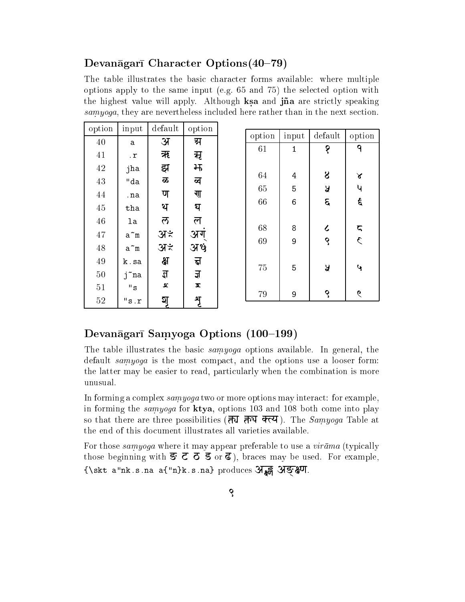### Devanāgarī Character Options (40-79)

The table illustrates the basic character forms available: where multiple options apply to the same input (e.g. 65 and 75) the selected option with . And include with a strictly value  $\sim$  and  $\sim$  and  $\sim$  and  $\sim$  and  $\sim$  are strictly speaking  $\sim$ samyoga, they are nevertheless included here rather than in the next section.

| option | input                | default            | option |          |              |                                             |                    |
|--------|----------------------|--------------------|--------|----------|--------------|---------------------------------------------|--------------------|
| 40     | a                    | अ                  | ग्र    | option   | input        | default                                     | option             |
| 41     | $\cdot$ $\mathbf{r}$ | ऋ                  | मृ     | 61       | $\mathbf{1}$ | १                                           | ٩                  |
| $42\,$ | jha                  | झ                  | 出      |          |              |                                             |                    |
| $43\,$ | "da                  | ळ                  | ब्र    | 64       | 4            | 8                                           | $\propto$          |
| 44     |                      | ण                  | गा     | 65       | 5            | Ã                                           | Ч                  |
|        | .na                  |                    |        | 66       | 6            | E                                           | $\epsilon$         |
| 45     | tha                  | थ                  | घ      |          |              |                                             |                    |
| 46     | la                   | ਨ                  | ल      |          |              |                                             |                    |
| $47\,$ | $a^m$                | अ≭                 | अग     | 68<br>69 | 8<br>9       | $\boldsymbol{\mathcal{L}}$<br>$\mathcal{S}$ | ς<br>$\mathcal{L}$ |
| $48\,$ | $\tilde{a}$ m        | अ≭                 | अर्थ   |          |              |                                             |                    |
| 49     | k.sa                 | क्ष                | ह्न    | 75       | 5            | Ã                                           | 4                  |
| $50\,$ | j~na                 | $\mathbf{z}$       | ज्ञ    |          |              |                                             |                    |
| 51     | $^{\rm II}$ s        | $\pmb{\mathsf{c}}$ | Ā      |          |              |                                             |                    |
| 52     | "s.r                 | হ্য                | श्र    | 79       | 9            | $\mathcal{S}$                               | $\epsilon$         |

## Devanāgarī Samyoga Options (100–199)

The table illustrates the basic samyoga options available. In general, the default samyoga is the most compact, and the options use a looser form: the latter may be easier to read, particularly when the combination is more unusual.

In forming a complex  $\sum_{n=1}^{\infty}$  two or more options may interact: for example, in forming the *samyoga* for **ktya**, options 103 and 108 both come into play so that there are three possibilities ( $\overline{d}$ ,  $\overline{d}$ ,  $\overline{d}$ ,  $\overline{d}$ ,  $\overline{d}$ ). The *Samyoga* Table at the end of this document illustrates all varieties available.

For those samyoga where it may appear preferable to use a  $vir\bar{a}ma$  (typically those beginning with  $\overline{s}$   $\overline{c}$   $\overline{d}$   $\overline{g}$  or  $\overline{d}$ ), braces may be used. For example, {\skt a"nk.s.na a{"n}k.s.na} produces **A&; AS&4**.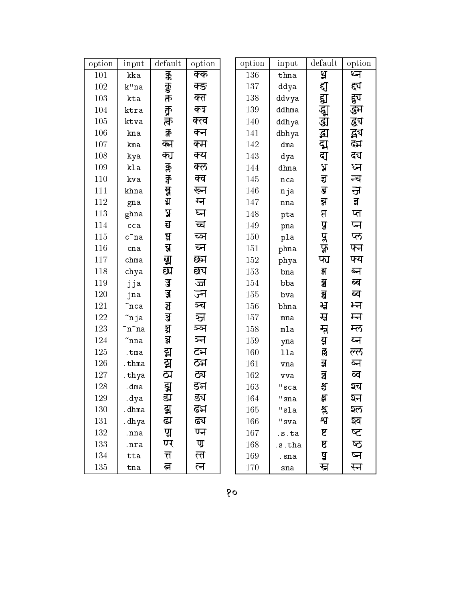| option  | input               | default                 | option   | option | input          | default                 | option   |
|---------|---------------------|-------------------------|----------|--------|----------------|-------------------------|----------|
| $101\,$ | kka                 |                         | क्क      | 136    | thna           | ध्र                     | थ्न      |
| 102     | $\mathbf{k}$ "na    | <b>156 150 11C</b>      | क्ङ      | 137    | ddya           | ह्य                     | द्दप     |
| 103     | kta                 |                         | क्त      | 138    | ddvya          | द्य                     | हुय      |
| 104     | ktra                |                         | क्त्र    | 139    | ddhma          | द्भ                     | द्धञ     |
| $105\,$ | ktva                | क<br>क                  | क्त्व    | 140    | ddhya          | द्धा                    | द्ध्य    |
| 106     | kna                 | $\overline{\mathbf{g}}$ | क्न      | 141    | dbhya          | द्भ                     | द्भय     |
| 107     | kma                 | क्म                     | क्म      | 142    | dma            | द्म                     | दम       |
| 108     | kya                 | क्त                     | क्य      | 143    | dya            | द्य                     | दय       |
| 109     | kla                 |                         | क्ल      | 144    | dhna           | A,                      | ध्न      |
| 110     | kva                 |                         | क्व      | 145    | nca            | द्य                     | न्च      |
| 111     | khna                | 东宫                      | ख्न      | 146    | nja            | $\mathbf{F}$            | ज        |
| 112     | gna                 |                         | ग्न      | 147    | $_{\tt nna}$   | ন্ব                     | झ        |
| $113\,$ | ghna                | $\mathbf{z}$            | घ्न      | 148    | pta            | $\mathbf{B}$            | प्त      |
| 114     | cca                 | द्य                     | च्च      | 149    | pna            | $\mathbf{a}$            | प्न      |
| 115     | $\tilde{\rm c}$ ^na | घ्र                     | च्ञ      | 150    | pla            |                         | प्ल      |
| 116     | cna                 | च्च                     | ब्न      | 151    | phna           | पुरुष                   | फ्न      |
| 117     | chma                | ध्र                     | छन       | 152    | phya           | फा                      | फ्य      |
| 118     | chya                | द्य                     | छप       | 153    | bna            | ञ्ज                     | ब्न      |
| 119     | jja                 | ज़ु                     | ज्ज      | 154    | bba            | $\overline{\mathbf{g}}$ | ब्ब      |
| 120     | jna                 | ज्ञ                     | ज्न      | 155    | bva            | <u>ଶ୍ର</u>              | ब्व      |
| $121\,$ | ~nca                | ञ्च                     | ञ्च      | 156    | bhna           | ਸ਼੍ਰ                    | भ्न      |
| 122     | ~nja                | ञ्ज                     | ञ्ज      | 157    | mna            | म्न                     | म्न      |
| 123     | ~n~na               | ধ্র                     | ञ्ञ      | 158    | mla            | म्ल                     | म्ल      |
| 124     | ~nna                | ञ्च                     | ञ्न      | 159    | yna            | य़                      | य्न      |
| 125     | .tma                | द्म                     | टम       | 160    | 11a            | ल्ल                     | ल्ल      |
| 126     | .thma               | द्म                     | ठम       | 161    | vna            | व्र                     | ब्न      |
| 127     | .thya               | ळा                      | ठप       | 162    | vva            | å                       | ब्ब      |
| 128     | .dma                |                         | डञ       | 163    | $^{\rm n}$ sca | श्च                     | श्च      |
| 129     | .dya                | ड्म<br>ड्य              | ड्य      | 164    | "sna           | भ्र                     | ञ्न      |
| 130     | .dhma               | ब्र                     | ढम       | 165    | "sla           | भ्र                     | ঽल       |
| 131     | .dhya               | ढ्य                     | ढच       | 166    | $"$ sva        | श्व                     | ञ्व      |
| 132     | .nna                | प्र                     | ण्न      | 167    | .s.ta          | ष्ट                     | $\Delta$ |
| 133     | .nra                | ण्र                     | ण्र      | 168    | .s.tha         | $\mathbf{A}$            | $\Delta$ |
| 134     | tta                 | त्त                     | <u>ल</u> | 169    | .sna           | ष्ठ                     | ष्न      |
| 135     | tna                 | त्न                     | ल        | 170    | sna            | स्त                     | स्न      |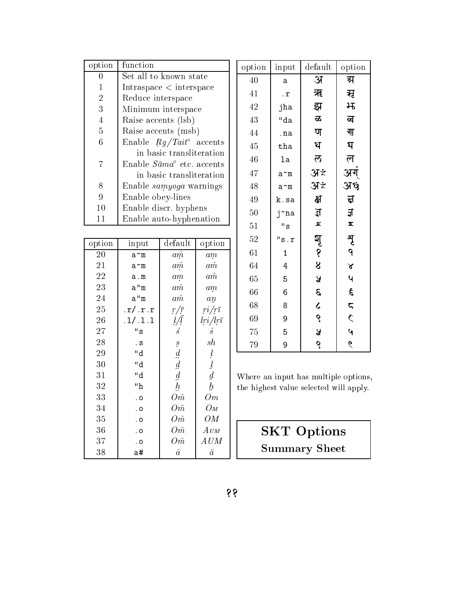| option         | function                                 |
|----------------|------------------------------------------|
| 0              | Set all to known state                   |
| 1              | Intraspace < interspace                  |
| $\overline{2}$ | Reduce interspace                        |
| 3              | Minimum interspace                       |
| $\overline{4}$ | Raise accents (lsb)                      |
| 5              | Raise accents (msb)                      |
| 6              | Enable $Rg/Tait^{\circ}$ accents         |
|                | in basic transliteration                 |
| 7              | Enable $S\bar{a}ma^{\circ}$ etc. accents |
|                | in basic transliteration                 |
| 8              | Enable <i>samyoga</i> warnings           |
| 9              | Enable obey-lines                        |
| 10             | Enable discr. hyphens                    |
| 11             | Enable auto-hyphenation                  |

| option | input                      | default          | option                                                                                                                                                                                                                                                                                                                                                                                                                                                              |
|--------|----------------------------|------------------|---------------------------------------------------------------------------------------------------------------------------------------------------------------------------------------------------------------------------------------------------------------------------------------------------------------------------------------------------------------------------------------------------------------------------------------------------------------------|
| 20     | a~m                        | $a\tilde{m}$     | am                                                                                                                                                                                                                                                                                                                                                                                                                                                                  |
| 21     | a~m                        | $a\tilde{m}$     | $a\dot{m}$                                                                                                                                                                                                                                                                                                                                                                                                                                                          |
| 22     | a.m                        | am               | $a\dot{m}$                                                                                                                                                                                                                                                                                                                                                                                                                                                          |
| 23     | a''m                       | $a\dot m$        | $a_{m}$                                                                                                                                                                                                                                                                                                                                                                                                                                                             |
| 24     | a''m                       | $a\dot{m}$       | $a\mathbf{n}$                                                                                                                                                                                                                                                                                                                                                                                                                                                       |
| 25     | $\mathbf{r}/\mathbf{r}$ .r | $r/\bar{r}$      | $ri/r\bar{i}$                                                                                                                                                                                                                                                                                                                                                                                                                                                       |
| 26     | .1/.1.1                    | $\frac{l}{l}$    | $lri/lr\bar{i}$                                                                                                                                                                                                                                                                                                                                                                                                                                                     |
| 27     | $^{\rm H}$ s               | $\overline{s}$   | $\dot{s}$                                                                                                                                                                                                                                                                                                                                                                                                                                                           |
| 28     | . S                        | $\overline{s}$   | sh                                                                                                                                                                                                                                                                                                                                                                                                                                                                  |
| 29     | "d                         | $\boldsymbol{d}$ | $\iota$                                                                                                                                                                                                                                                                                                                                                                                                                                                             |
| 30     | "d                         | $\underline{d}$  | $\mathcal{I}% _{M_{1},M_{2}}^{\alpha,\beta}(\mathcal{M}_{M_{1},M_{2}}^{\alpha,\beta}(\mathcal{M}_{M_{1},M_{2}}^{\alpha,\beta}))=P_{\mathcal{M}_{M_{1},M_{2}}^{\alpha,\beta}}^{\alpha,\beta}P_{\mathcal{M}_{M_{1},M_{2}}^{\alpha,\beta}}^{\alpha,\beta}P_{\mathcal{M}_{M_{1},M_{2}}^{\alpha,\beta}}^{\alpha,\beta}P_{\mathcal{M}_{1},M_{2}}^{\alpha,\beta}P_{\mathcal{M}_{1},M_{2}}^{\alpha,\beta}P_{\mathcal{M}_{1},M_{2}}^{\alpha,\beta}% \P_{\mathcal{M}_{1},M_{$ |
| 31     | "d                         | $\boldsymbol{d}$ | $\underline{d}$                                                                                                                                                                                                                                                                                                                                                                                                                                                     |
| 32     | "h                         | $\mathbf{h}$     | $\underline{h}$                                                                                                                                                                                                                                                                                                                                                                                                                                                     |
| 33     | . 0                        | Om               | Om                                                                                                                                                                                                                                                                                                                                                                                                                                                                  |
| 34     | . 0                        | $O\tilde{m}$     | Ом                                                                                                                                                                                                                                                                                                                                                                                                                                                                  |
| 35     | . 0                        | Оñ               | OM                                                                                                                                                                                                                                                                                                                                                                                                                                                                  |
| 36     | . 0                        | $O\tilde{m}$     | $A$ $\scriptstyle UM$                                                                                                                                                                                                                                                                                                                                                                                                                                               |
| 37     | . 0                        | $O\tilde{m}$     | $\mathit{A}\mathit{UM}$                                                                                                                                                                                                                                                                                                                                                                                                                                             |
| 38     | a#                         | $\tilde{a}$      | ă                                                                                                                                                                                                                                                                                                                                                                                                                                                                   |

| option | $_{\mathrm{input}}$  | default          | option                  |
|--------|----------------------|------------------|-------------------------|
| 40     | a                    | अ                | ग्र                     |
| 41     | $\cdot$ $\mathbf{r}$ | ऋ                | मृ                      |
| 42     | jha                  | झ                | 出                       |
| 43     | "da                  | ಹ                | ब्ब                     |
| 44     | .na                  | ण                | ग्                      |
| 45     | tha                  | थ                | घ                       |
| 46     | la                   | ल                | ल $\overline{r}$        |
| 47     | a~m                  | अ≭               | अग्                     |
| 48     | a~m                  | अ≭               | अर्थ                    |
| 49     | k.sa                 | क्ष              | $\overline{\mathbf{b}}$ |
| 50     | j~na                 | $\overline{\mu}$ | ज्ञ                     |
| 51     | "s                   | œ                | x                       |
| 52     | "s.r                 |                  | पृ                      |
| 61     | $\mathbf{1}$         | মৃ<br>প          | 9                       |
| 64     | 4                    | $\boldsymbol{8}$ | $\boldsymbol{\lambda}$  |
| 65     | 5                    | ¥                | 4                       |
| 66     | 6                    | $\mathcal{S}$    | र्द                     |
| 68     | 8                    | $\epsilon$       | $\zeta$                 |
| 69     | 9                    | S                | $\mathcal{L}$           |
| 75     | 5                    | ¥                | $\mathbf{v}$            |
| 79     | 9                    | Ş                | $\acute{\epsilon}$      |

Where an input has multiple options, the highest value selected will apply.

# **SKT Options Summary Sheet**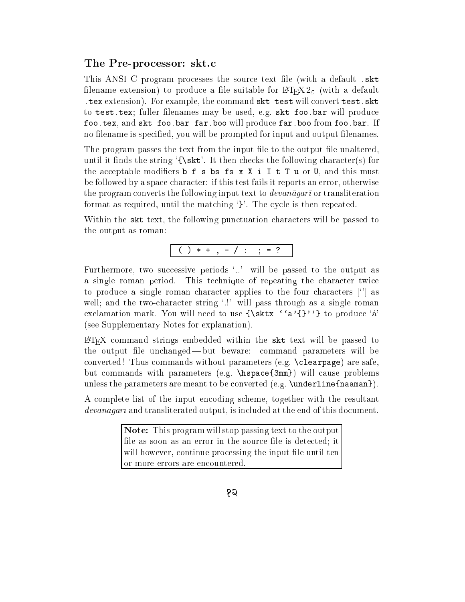### The Pre-processor: skt.c

This ANSI C program processes the source text le (with a default .skt filename extension) to produce a file suitable for  $\mathbb{F}$ FFX  $2_{\epsilon}$  (with a default .tex extension). For example, the command skt test will convert test.skt to test.tex; fuller filenames may be used, e.g. skt foo.bar will produce foo.tex, and skt foo.bar far.boo will produce far.boo from foo.bar. If no filename is specified, you will be prompted for input and output filenames.

The program passes the text from the input file to the output file unaltered, until it finds the string  $\{\s$ t. It then checks the following character(s) for the acceptable modifiers  $\mathbf b$  f s bs fs x X i I t T u or U, and this must be followed by a space character: if this test fails it reports an error, otherwise the program converts the following input text to  $devan\bar{a}qar\bar{a}$  or transliteration format as required, until the matching `}'. The cycle is then repeated.

Within the skt text, the following punctuation characters will be passed to the output as roman:

$$
( ) * + , - / : ; = ?
$$

Furthermore, two successive periods `..' will be passed to the output as a single roman period. This technique of repeating the character twice to produce a single roman character applies to the four characters [`'] as well; and the two-character string '.!' will pass through as a single roman exclamation mark. You will need to use  $\{\text{str } 'a'\}$  to produce 'a' (see Supplementary Notes for explanation).

LATEX command strings embedded within the skt text will be passed to the output file unchanged—but beware: command parameters will be converted! Thus commands without parameters  $(e.g. \text{ \textbackslash} \text{ } c1)$  are safe. but commands with parameters (e.g. \hspace{3mm}) will cause problems unless the parameters are meant to be converted (e.g. **\underline{naaman}**).

A complete list of the input encoding scheme, together with the resultant  $devan\bar{a}gar\bar{i}$  and transliterated output, is included at the end of this document.

> Note: This program will stop passing text to the output file as soon as an error in the source file is detected; it will however, continue processing the input file until ten or more errors are encountered.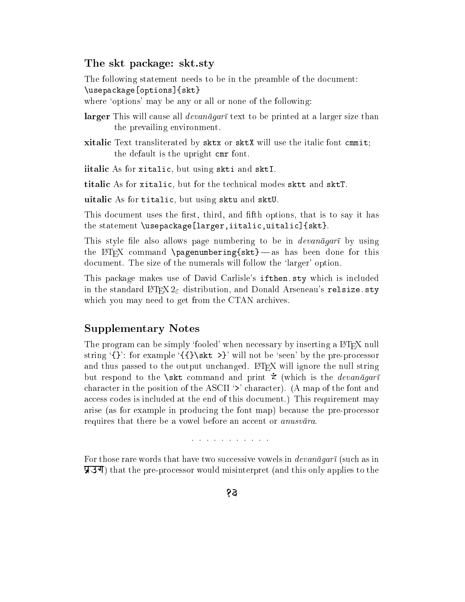### The skt package: skt.sty

The following statement needs to be in the preamble of the document:  $\mathcal{S}$  , and a set of  $\mathcal{S}$  , and a set of  $\mathcal{S}$ 

where 'options' may be any or all or none of the following:

- larger This will cause all  $devan\bar{a}gar\bar{b}$  text to be printed at a larger size than the prevailing environment.
- xitalic Text transliterated by sktx or sktX will use the italic font cmmit; the default is the upright cmr font.

iitalic As for xitalic, but using skti and sktI.

titalic As for xitalic, but for the technical modes sktt and sktT.

uitalic As for titalic, but using sktu and sktU.

This document uses the first, third, and fifth options, that is to say it has the statement \usepackage[larger,iitalic,uitalic]{skt}.

This style file also allows page numbering to be in *devanagart* by using the L<sup>AT</sup>EX command \pagenumbering{skt} - as has been done for this document. The size of the numerals will follow the `larger' option.

This package makes use of David Carlisle's ifthen.sty which is included in the standard  $\text{LTr} X 2_{\varepsilon}$  distribution, and Donald Arseneau's relsize.sty which you may need to get from the CTAN archives.

### Supplementary Notes

The program can be simply 'fooled' when necessary by inserting a L<sup>AT</sup>EX null string  $'\$ : for example  $'\$  $\skt \gg'$  will not be 'seen' by the pre-processor and thus passed to the output unchanged.  $\mathbb{F}$ <sub>FF</sub>X will ignore the null string but respond to the \skt command and print  $\dot{\tilde{}}$  (which is the *devanagart* character in the position of the ASCII '>' character). (A map of the font and access codes is included at the end of this document.) This requirement may arise (as for example in producing the font map) because the pre-processor requires that there be a vowel before an accent or *anusvara*.

and a state of the state of the state

For those rare words that have two successive vowels in  $devan\bar{a}gar\bar{i}$  (such as in  $\overline{y}$ . That the pre-processor would misinterpret (and this only applies to the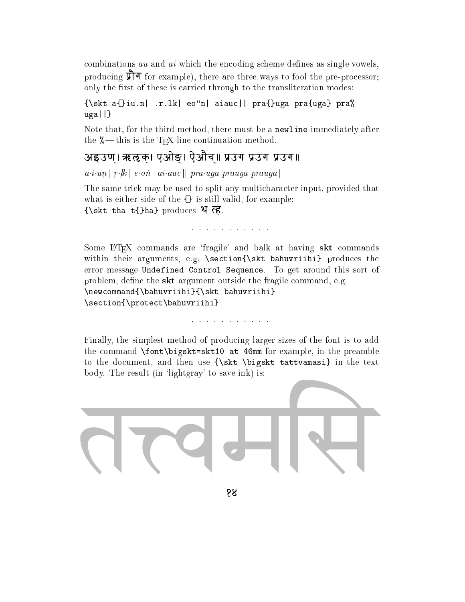combinations  $au$  and  $ai$  which the encoding scheme defines as single vowels, producing  $\hat{\mathbf{\nabla}}$  for example), there are three ways to fool the pre-processor; only the first of these is carried through to the transliteration modes:

### ${\bf r}$  . The contract of the contract of the contract property property property property property property property property of the contract of the contract of the contract of the contract of the contract of the contract ----

Note that, for the third method, there must be a newline immediately after the  $\%$  — this is the T<sub>E</sub>X line continuation method.

# अइउण्। ऋऌक्। एओङ्। ऐऔच्॥ प्रउग प्रउग प्रउग॥

 $a \cdot \sin \beta$  in conclusion is practice. The internal product  $\alpha$  is an internal product of  $\alpha$  is a set of  $\alpha$  is a set of  $\alpha$  is a set of  $\alpha$  is a set of  $\alpha$  is a set of  $\alpha$  is a set of  $\alpha$  is a set of  $\alpha$  is a set

The same trick may be used to split any multicharacter input, provided that what is either side of the {} is still valid, for example:  ${\bf t}$  , the that the tag that the three tags the three tags  ${\bf t}$ 

### والوالد والمناور والمناور والوالد والمناور

Some LAT<sub>EX</sub> commands are 'fragile' and balk at having skt commands within their arguments, e.g. \section{\skt bahuvriihi} produces the error message Undefined Control Sequence. To get around this sort of problem, define the  $skt$  argument outside the fragile command, e.g.  $\lambda$  . The community  $\lambda$  is a particle basis of  $\lambda$  in the contract band  $\lambda$ \section{\protect\bahuvriihi}

#### والمناول والمناول والمناول والمناول

Finally, the simplest method of producing larger sizes of the font is to add the command \font\bigskt=skt10 at 46mm for example, in the preamble to the document, and then use {\skt \bigskt tattvamasi} in the text body. The result (in 'lightgray' to save ink) is:

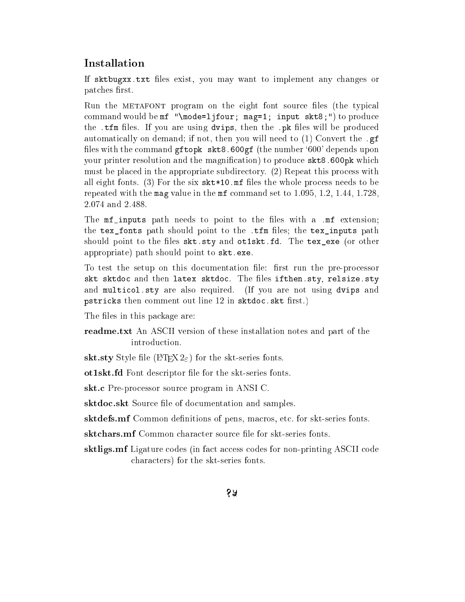# Installation

If sktbugxx txt files exist, you may want to implement any changes or patches first. patches and the control of the control of the control of the control of the control of the control of the control of the control of the control of the control of the control of the control of the control of the control of

Run the METAFONT program on the eight font source files (the typical command would be mf "\mode=ljfour; mag=1; input skt8;") to produce the .tfm files. If you are using dvips, then the .pk files will be produced automatically on demand; if not, then you will need to (1) Convert the .gf files with the command gftopk  $skt8.600gf$  (the number '600' depends upon your printer resolution and the magnification) to produce skt8.600pk which must be placed in the appropriate subdirectory. (2) Repeat this process with all eight fonts. (3) For the six  $\texttt{skt*10.mf}$  files the whole process needs to be repeated with the mag value in the mf command set to 1.095, 1.2, 1.44, 1.728, 2.074 and 2.488.

The mf\_inputs path needs to point to the files with a .mf extension; the tex fonts path should point to the .tfm files; the tex inputs path should point to the files skt.sty and otiskt.fd. The tex\_exe (or other appropriate) path should point to skt.exe.

To test the setup on this documentation file: first run the pre-processor skt sktor i den dels skitte skitdoc. The matrix skitter is ifthe skitter if and multicol.sty are also required. (If you are not using dvips and pstricks then commented the comment of the skills of the skills of the skills of  $\mathcal{S}$ 

The files in this package are:

readme.txt An ASCII version of these installation notes and part of the introduction.

skt.sty Style file ( $\angle$ FFX 2 $_{\epsilon}$ ) for the skt-series fonts.

ot1skt.fd Font descriptor file for the skt-series fonts.

skt.c Pre-processor source program in ANSI C.

sktdoc.skt Source file of documentation and samples.

sktdefs.mf Common definitions of pens, macros, etc. for skt-series fonts.

sktchars.mf Common character source file for skt-series fonts.

sktligs.mf Ligature codes (in fact access codes for non-printing ASCII code characters) for the skt-series fonts.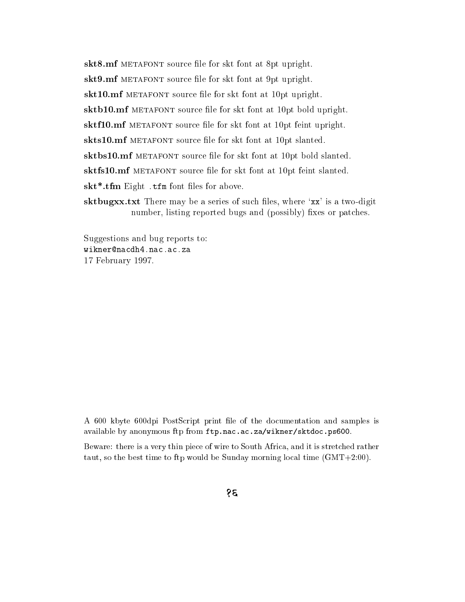skt8.mf METAFONT source file for skt font at 8pt upright. skt9.mf METAFONT source file for skt font at 9pt upright. skt10.mf METAFONT source file for skt font at 10pt upright. sktb10.mf METAFONT source file for skt font at 10pt bold upright. sktf10.mf METAFONT source file for skt font at 10pt feint upright. skts10.mf METAFONT source file for skt font at 10pt slanted. sktbs10.mf METAFONT source file for skt font at 10pt bold slanted. sktfs10.mf METAFONT source file for skt font at 10pt feint slanted. skt<sup>\*</sup>.tfm Eight .tfm font files for above. sktbugxx.txt There may be a series of such files, where 'xx' is a two-digit number, listing reported bugs and (possibly) fixes or patches.

Suggestions and bug reports to: 17 February 1997.

A 600 kbyte 600dpi PostScript print le of the documentation and samples is available by anonymous ftp from ftp.nac.ac.za/wikner/sktdoc.ps600.

Beware: there is a very thin piece of wire to South Africa, and it is stretched rather taut, so the best time to ftp would be Sunday morning local time (GMT+2:00).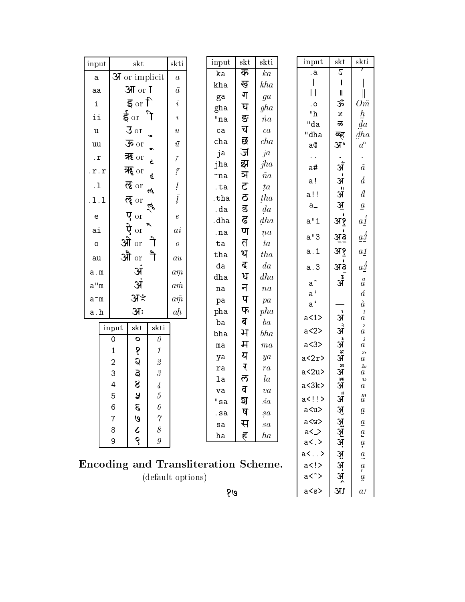| skti<br>input<br>skt<br>skti<br>input<br>$_{\rm skt}$<br>input<br>skti<br>$_{\rm skt}$<br>$\mathcal{L}$<br>क<br>ka<br>$\mathbf{a}$<br>ka<br><b>3</b> or implicit<br>$\boldsymbol{a}$<br>a<br>ख<br>kha<br>kha<br>आ or T<br>$\bar{a}$<br>aa<br>$\mathsf{I}$<br>$\mathbf l$<br>ग<br>ga<br>ga<br>इ $_{\rm or}$ ि<br>ૐ<br>$\dot{i}$<br>i<br>0ñ<br>$\overline{\phantom{a}}$ . O<br>घ<br>gha<br>gha<br>$^{\rm n} \rm h$<br>$\ddot{h}$<br>ई $\rm{or}$<br>$\mathcal{L}$<br>$\asymp$<br>ii<br>$\bar{\imath}$<br>ङ<br>$"$ na<br>$\dot na$<br>"da<br>da<br>ळ<br>च<br>$3$ or<br>ca<br>ca<br>u<br>$\boldsymbol{u}$<br>dha<br>"dha<br>ब्ह<br>छ<br>cha<br>cha<br>$\overline{\mathbf{B}}$ or<br>$\bar{u}$<br>$a^\circ$<br>अ॰<br>uu<br>a@<br>ज<br>ja<br>ja<br>न्दू $or$<br>$\ddot{\phantom{0}}$<br>$\cdot$ r<br>$\boldsymbol{r}$<br>झ<br>jha<br>ॲ<br>jha<br>$\tilde{a}$<br>a#<br>न्हे $\sigma$ or<br>$\bar{r}$<br>$\cdot r \cdot r$<br>ञ<br>$\tilde na$<br>$\tilde{}$ na<br>$\overline{d}$<br>अ<br>a!<br>ल्ह $\sigma$ or<br>$\frac{l}{l}$<br>$\mathfrak{S}$<br>. $\mathbf 1$<br>ta<br>.ta<br>ત્ત<br>अँ<br>$\ddot{a}$<br>a!!<br>$\mathbf{Q}$<br>tha<br>.tha<br>ल्ह $\sigma$<br>.1.1<br><u>अ</u><br>$a_{-}$<br>$\underline{a}$<br>$\overline{\mathbf{g}}$<br>da<br>.da<br>$\overline{q}$ or<br>$\boldsymbol{e}$<br>e<br>$\mathbf{P}$<br>$a_1'$<br>dh a<br>a''1<br>.dha<br>अ१<br>$\partial \overline{\psi}$ or<br>ai<br>ण<br>$\it{ai}$<br>.na<br>$\operatorname{na}$<br>$a\dot{3}$<br>a''3<br><u>अउ</u><br>ओे $\sigma$<br>त<br>$t\boldsymbol{a}$<br>ta<br>$\cal O$<br>$\circ$<br>अ१<br>a. 1<br>$a\sqrt{1}$<br>थ<br>ैो<br>tha<br>औ $_{\rm or}$<br>tha<br>$\it{au}$<br>au<br>$a_2^{\prime}$<br>$\mathbf{r}$<br>da<br>da<br>अ३<br>a.3<br><u>अं</u><br>a.m<br>$\ am$<br>ध<br>dh a<br>dha<br>$\mathfrak{F}$<br>$\overset{u}{a}$<br>ॲ<br>$a^{\frown}$<br>a''m<br>$a\dot{m}$<br>न<br>na<br>$\sqrt{n}a$<br>$\acute{a}$<br>a'<br>अं∻<br>प<br>$a\tilde{m}$<br>$\mathtt{a}\char`{\char`{\hspace{.1em}}\mathsf{m}}$<br>pa<br>pa<br>$a^{\prime}$<br>$\dot{a}$<br>फ<br>31:<br>pha<br>ah<br>pha<br>a.h<br>$\mathbf{P}$<br>$\it 1$<br>a < 1<br>अ<br>$\it a$<br>ब<br>ba<br>ba<br>$\sqrt{2}$<br>input<br>skt<br>skti<br>a < 2<br>अ<br>भ<br>$\it a$<br>bha<br>bha<br>$\theta$<br>$\mathbf 0$<br>$\mathbf O$<br>3<br>अं<br>म<br>a<3><br>$_{\tt ma}$<br>$\boldsymbol{m}{a}$<br>$\boldsymbol{a}$<br>१<br>$\mathbf{1}$<br>1<br>्र<br>अ<br>2r<br>य<br>ya<br>ya<br>a < 2r<br>$\it a$<br>Q<br>$\overline{2}$<br>$\mathcal{Q}% _{M_{1},M_{2}}^{\alpha,\beta}(\varepsilon)$<br>र<br>ू<br>अ<br>2u<br>${\tt ra}$<br>ra<br>a < 2u<br>g<br>3<br>$\mathcal S$<br>$\it a$<br>ल<br>$l_a$<br>la<br>्<br>अ<br>$3\mathit{k}$<br>$8\,$<br>4<br>$\frac{1}{4}$<br>a < 3k<br>$\it a$<br>व<br>va<br>va<br>M<br>$\overline{5}$<br>Å<br>5<br>$\ddot{a}$<br>$a<$ !!><br><u>अ</u><br>ম<br>"sa<br>śa<br>$\mathcal{E}$<br>6<br>6<br><b>Right Stricts Stricts</b><br>a <u><br/><math>\mathfrak{g}</math><br/>ष<br/>.sa<br/>sa<br/>G<br/><math>\gamma</math><br/>7<br/>a &lt; w &gt;<br/><math>\overline{a}</math><br/>स<br/>sa<br/>sa<br/><math display="inline">\mathcal S</math><br/>8<br/>८<br/>a &lt;<br/><math>\overline{a}</math><br/>ह<br/>ha<br/>ha<br/>९<br/><math display="inline">\boldsymbol{g}</math><br/>9<br/>a&lt;.<br/><math>\mathfrak{a}</math><br/>a&lt;0.1<br/><math>a_{\bullet}</math><br/><b>Encoding and Transliteration Scheme.</b><br/>a<sub>1</sub><br/><math>\mathfrak{a}</math><br/><math>a</math> &lt; <math>\hat{ }</math> &gt;<br/>(default options)<br/><math>\alpha</math></u> |  |  |  |  |  |  |  |  |  |  |       |            |                     |  |
|------------------------------------------------------------------------------------------------------------------------------------------------------------------------------------------------------------------------------------------------------------------------------------------------------------------------------------------------------------------------------------------------------------------------------------------------------------------------------------------------------------------------------------------------------------------------------------------------------------------------------------------------------------------------------------------------------------------------------------------------------------------------------------------------------------------------------------------------------------------------------------------------------------------------------------------------------------------------------------------------------------------------------------------------------------------------------------------------------------------------------------------------------------------------------------------------------------------------------------------------------------------------------------------------------------------------------------------------------------------------------------------------------------------------------------------------------------------------------------------------------------------------------------------------------------------------------------------------------------------------------------------------------------------------------------------------------------------------------------------------------------------------------------------------------------------------------------------------------------------------------------------------------------------------------------------------------------------------------------------------------------------------------------------------------------------------------------------------------------------------------------------------------------------------------------------------------------------------------------------------------------------------------------------------------------------------------------------------------------------------------------------------------------------------------------------------------------------------------------------------------------------------------------------------------------------------------------------------------------------------------------------------------------------------------------------------------------------------------------------------------------------------------------------------------------------------------------------------------------------------------------------------------------------------------------------------------------------------------------------------------------------------------------------------------------------------------------------------------------------------------------------------------------------------------------------------------------------------------------------------------------------------------------------------------------------------------------------------------------------------------------------------------------------------------------------------------------------------------------------------------------------------------------------|--|--|--|--|--|--|--|--|--|--|-------|------------|---------------------|--|
|                                                                                                                                                                                                                                                                                                                                                                                                                                                                                                                                                                                                                                                                                                                                                                                                                                                                                                                                                                                                                                                                                                                                                                                                                                                                                                                                                                                                                                                                                                                                                                                                                                                                                                                                                                                                                                                                                                                                                                                                                                                                                                                                                                                                                                                                                                                                                                                                                                                                                                                                                                                                                                                                                                                                                                                                                                                                                                                                                                                                                                                                                                                                                                                                                                                                                                                                                                                                                                                                                                                                          |  |  |  |  |  |  |  |  |  |  |       |            |                     |  |
|                                                                                                                                                                                                                                                                                                                                                                                                                                                                                                                                                                                                                                                                                                                                                                                                                                                                                                                                                                                                                                                                                                                                                                                                                                                                                                                                                                                                                                                                                                                                                                                                                                                                                                                                                                                                                                                                                                                                                                                                                                                                                                                                                                                                                                                                                                                                                                                                                                                                                                                                                                                                                                                                                                                                                                                                                                                                                                                                                                                                                                                                                                                                                                                                                                                                                                                                                                                                                                                                                                                                          |  |  |  |  |  |  |  |  |  |  |       |            |                     |  |
|                                                                                                                                                                                                                                                                                                                                                                                                                                                                                                                                                                                                                                                                                                                                                                                                                                                                                                                                                                                                                                                                                                                                                                                                                                                                                                                                                                                                                                                                                                                                                                                                                                                                                                                                                                                                                                                                                                                                                                                                                                                                                                                                                                                                                                                                                                                                                                                                                                                                                                                                                                                                                                                                                                                                                                                                                                                                                                                                                                                                                                                                                                                                                                                                                                                                                                                                                                                                                                                                                                                                          |  |  |  |  |  |  |  |  |  |  |       |            |                     |  |
|                                                                                                                                                                                                                                                                                                                                                                                                                                                                                                                                                                                                                                                                                                                                                                                                                                                                                                                                                                                                                                                                                                                                                                                                                                                                                                                                                                                                                                                                                                                                                                                                                                                                                                                                                                                                                                                                                                                                                                                                                                                                                                                                                                                                                                                                                                                                                                                                                                                                                                                                                                                                                                                                                                                                                                                                                                                                                                                                                                                                                                                                                                                                                                                                                                                                                                                                                                                                                                                                                                                                          |  |  |  |  |  |  |  |  |  |  |       |            |                     |  |
|                                                                                                                                                                                                                                                                                                                                                                                                                                                                                                                                                                                                                                                                                                                                                                                                                                                                                                                                                                                                                                                                                                                                                                                                                                                                                                                                                                                                                                                                                                                                                                                                                                                                                                                                                                                                                                                                                                                                                                                                                                                                                                                                                                                                                                                                                                                                                                                                                                                                                                                                                                                                                                                                                                                                                                                                                                                                                                                                                                                                                                                                                                                                                                                                                                                                                                                                                                                                                                                                                                                                          |  |  |  |  |  |  |  |  |  |  |       |            |                     |  |
|                                                                                                                                                                                                                                                                                                                                                                                                                                                                                                                                                                                                                                                                                                                                                                                                                                                                                                                                                                                                                                                                                                                                                                                                                                                                                                                                                                                                                                                                                                                                                                                                                                                                                                                                                                                                                                                                                                                                                                                                                                                                                                                                                                                                                                                                                                                                                                                                                                                                                                                                                                                                                                                                                                                                                                                                                                                                                                                                                                                                                                                                                                                                                                                                                                                                                                                                                                                                                                                                                                                                          |  |  |  |  |  |  |  |  |  |  |       |            |                     |  |
|                                                                                                                                                                                                                                                                                                                                                                                                                                                                                                                                                                                                                                                                                                                                                                                                                                                                                                                                                                                                                                                                                                                                                                                                                                                                                                                                                                                                                                                                                                                                                                                                                                                                                                                                                                                                                                                                                                                                                                                                                                                                                                                                                                                                                                                                                                                                                                                                                                                                                                                                                                                                                                                                                                                                                                                                                                                                                                                                                                                                                                                                                                                                                                                                                                                                                                                                                                                                                                                                                                                                          |  |  |  |  |  |  |  |  |  |  |       |            |                     |  |
|                                                                                                                                                                                                                                                                                                                                                                                                                                                                                                                                                                                                                                                                                                                                                                                                                                                                                                                                                                                                                                                                                                                                                                                                                                                                                                                                                                                                                                                                                                                                                                                                                                                                                                                                                                                                                                                                                                                                                                                                                                                                                                                                                                                                                                                                                                                                                                                                                                                                                                                                                                                                                                                                                                                                                                                                                                                                                                                                                                                                                                                                                                                                                                                                                                                                                                                                                                                                                                                                                                                                          |  |  |  |  |  |  |  |  |  |  |       |            |                     |  |
|                                                                                                                                                                                                                                                                                                                                                                                                                                                                                                                                                                                                                                                                                                                                                                                                                                                                                                                                                                                                                                                                                                                                                                                                                                                                                                                                                                                                                                                                                                                                                                                                                                                                                                                                                                                                                                                                                                                                                                                                                                                                                                                                                                                                                                                                                                                                                                                                                                                                                                                                                                                                                                                                                                                                                                                                                                                                                                                                                                                                                                                                                                                                                                                                                                                                                                                                                                                                                                                                                                                                          |  |  |  |  |  |  |  |  |  |  |       |            |                     |  |
|                                                                                                                                                                                                                                                                                                                                                                                                                                                                                                                                                                                                                                                                                                                                                                                                                                                                                                                                                                                                                                                                                                                                                                                                                                                                                                                                                                                                                                                                                                                                                                                                                                                                                                                                                                                                                                                                                                                                                                                                                                                                                                                                                                                                                                                                                                                                                                                                                                                                                                                                                                                                                                                                                                                                                                                                                                                                                                                                                                                                                                                                                                                                                                                                                                                                                                                                                                                                                                                                                                                                          |  |  |  |  |  |  |  |  |  |  |       |            |                     |  |
|                                                                                                                                                                                                                                                                                                                                                                                                                                                                                                                                                                                                                                                                                                                                                                                                                                                                                                                                                                                                                                                                                                                                                                                                                                                                                                                                                                                                                                                                                                                                                                                                                                                                                                                                                                                                                                                                                                                                                                                                                                                                                                                                                                                                                                                                                                                                                                                                                                                                                                                                                                                                                                                                                                                                                                                                                                                                                                                                                                                                                                                                                                                                                                                                                                                                                                                                                                                                                                                                                                                                          |  |  |  |  |  |  |  |  |  |  |       |            |                     |  |
|                                                                                                                                                                                                                                                                                                                                                                                                                                                                                                                                                                                                                                                                                                                                                                                                                                                                                                                                                                                                                                                                                                                                                                                                                                                                                                                                                                                                                                                                                                                                                                                                                                                                                                                                                                                                                                                                                                                                                                                                                                                                                                                                                                                                                                                                                                                                                                                                                                                                                                                                                                                                                                                                                                                                                                                                                                                                                                                                                                                                                                                                                                                                                                                                                                                                                                                                                                                                                                                                                                                                          |  |  |  |  |  |  |  |  |  |  |       |            |                     |  |
|                                                                                                                                                                                                                                                                                                                                                                                                                                                                                                                                                                                                                                                                                                                                                                                                                                                                                                                                                                                                                                                                                                                                                                                                                                                                                                                                                                                                                                                                                                                                                                                                                                                                                                                                                                                                                                                                                                                                                                                                                                                                                                                                                                                                                                                                                                                                                                                                                                                                                                                                                                                                                                                                                                                                                                                                                                                                                                                                                                                                                                                                                                                                                                                                                                                                                                                                                                                                                                                                                                                                          |  |  |  |  |  |  |  |  |  |  |       |            |                     |  |
|                                                                                                                                                                                                                                                                                                                                                                                                                                                                                                                                                                                                                                                                                                                                                                                                                                                                                                                                                                                                                                                                                                                                                                                                                                                                                                                                                                                                                                                                                                                                                                                                                                                                                                                                                                                                                                                                                                                                                                                                                                                                                                                                                                                                                                                                                                                                                                                                                                                                                                                                                                                                                                                                                                                                                                                                                                                                                                                                                                                                                                                                                                                                                                                                                                                                                                                                                                                                                                                                                                                                          |  |  |  |  |  |  |  |  |  |  |       |            |                     |  |
|                                                                                                                                                                                                                                                                                                                                                                                                                                                                                                                                                                                                                                                                                                                                                                                                                                                                                                                                                                                                                                                                                                                                                                                                                                                                                                                                                                                                                                                                                                                                                                                                                                                                                                                                                                                                                                                                                                                                                                                                                                                                                                                                                                                                                                                                                                                                                                                                                                                                                                                                                                                                                                                                                                                                                                                                                                                                                                                                                                                                                                                                                                                                                                                                                                                                                                                                                                                                                                                                                                                                          |  |  |  |  |  |  |  |  |  |  |       |            |                     |  |
|                                                                                                                                                                                                                                                                                                                                                                                                                                                                                                                                                                                                                                                                                                                                                                                                                                                                                                                                                                                                                                                                                                                                                                                                                                                                                                                                                                                                                                                                                                                                                                                                                                                                                                                                                                                                                                                                                                                                                                                                                                                                                                                                                                                                                                                                                                                                                                                                                                                                                                                                                                                                                                                                                                                                                                                                                                                                                                                                                                                                                                                                                                                                                                                                                                                                                                                                                                                                                                                                                                                                          |  |  |  |  |  |  |  |  |  |  |       |            |                     |  |
|                                                                                                                                                                                                                                                                                                                                                                                                                                                                                                                                                                                                                                                                                                                                                                                                                                                                                                                                                                                                                                                                                                                                                                                                                                                                                                                                                                                                                                                                                                                                                                                                                                                                                                                                                                                                                                                                                                                                                                                                                                                                                                                                                                                                                                                                                                                                                                                                                                                                                                                                                                                                                                                                                                                                                                                                                                                                                                                                                                                                                                                                                                                                                                                                                                                                                                                                                                                                                                                                                                                                          |  |  |  |  |  |  |  |  |  |  |       |            |                     |  |
|                                                                                                                                                                                                                                                                                                                                                                                                                                                                                                                                                                                                                                                                                                                                                                                                                                                                                                                                                                                                                                                                                                                                                                                                                                                                                                                                                                                                                                                                                                                                                                                                                                                                                                                                                                                                                                                                                                                                                                                                                                                                                                                                                                                                                                                                                                                                                                                                                                                                                                                                                                                                                                                                                                                                                                                                                                                                                                                                                                                                                                                                                                                                                                                                                                                                                                                                                                                                                                                                                                                                          |  |  |  |  |  |  |  |  |  |  |       |            |                     |  |
|                                                                                                                                                                                                                                                                                                                                                                                                                                                                                                                                                                                                                                                                                                                                                                                                                                                                                                                                                                                                                                                                                                                                                                                                                                                                                                                                                                                                                                                                                                                                                                                                                                                                                                                                                                                                                                                                                                                                                                                                                                                                                                                                                                                                                                                                                                                                                                                                                                                                                                                                                                                                                                                                                                                                                                                                                                                                                                                                                                                                                                                                                                                                                                                                                                                                                                                                                                                                                                                                                                                                          |  |  |  |  |  |  |  |  |  |  |       |            |                     |  |
|                                                                                                                                                                                                                                                                                                                                                                                                                                                                                                                                                                                                                                                                                                                                                                                                                                                                                                                                                                                                                                                                                                                                                                                                                                                                                                                                                                                                                                                                                                                                                                                                                                                                                                                                                                                                                                                                                                                                                                                                                                                                                                                                                                                                                                                                                                                                                                                                                                                                                                                                                                                                                                                                                                                                                                                                                                                                                                                                                                                                                                                                                                                                                                                                                                                                                                                                                                                                                                                                                                                                          |  |  |  |  |  |  |  |  |  |  |       |            |                     |  |
|                                                                                                                                                                                                                                                                                                                                                                                                                                                                                                                                                                                                                                                                                                                                                                                                                                                                                                                                                                                                                                                                                                                                                                                                                                                                                                                                                                                                                                                                                                                                                                                                                                                                                                                                                                                                                                                                                                                                                                                                                                                                                                                                                                                                                                                                                                                                                                                                                                                                                                                                                                                                                                                                                                                                                                                                                                                                                                                                                                                                                                                                                                                                                                                                                                                                                                                                                                                                                                                                                                                                          |  |  |  |  |  |  |  |  |  |  |       |            |                     |  |
|                                                                                                                                                                                                                                                                                                                                                                                                                                                                                                                                                                                                                                                                                                                                                                                                                                                                                                                                                                                                                                                                                                                                                                                                                                                                                                                                                                                                                                                                                                                                                                                                                                                                                                                                                                                                                                                                                                                                                                                                                                                                                                                                                                                                                                                                                                                                                                                                                                                                                                                                                                                                                                                                                                                                                                                                                                                                                                                                                                                                                                                                                                                                                                                                                                                                                                                                                                                                                                                                                                                                          |  |  |  |  |  |  |  |  |  |  |       |            |                     |  |
|                                                                                                                                                                                                                                                                                                                                                                                                                                                                                                                                                                                                                                                                                                                                                                                                                                                                                                                                                                                                                                                                                                                                                                                                                                                                                                                                                                                                                                                                                                                                                                                                                                                                                                                                                                                                                                                                                                                                                                                                                                                                                                                                                                                                                                                                                                                                                                                                                                                                                                                                                                                                                                                                                                                                                                                                                                                                                                                                                                                                                                                                                                                                                                                                                                                                                                                                                                                                                                                                                                                                          |  |  |  |  |  |  |  |  |  |  |       |            |                     |  |
|                                                                                                                                                                                                                                                                                                                                                                                                                                                                                                                                                                                                                                                                                                                                                                                                                                                                                                                                                                                                                                                                                                                                                                                                                                                                                                                                                                                                                                                                                                                                                                                                                                                                                                                                                                                                                                                                                                                                                                                                                                                                                                                                                                                                                                                                                                                                                                                                                                                                                                                                                                                                                                                                                                                                                                                                                                                                                                                                                                                                                                                                                                                                                                                                                                                                                                                                                                                                                                                                                                                                          |  |  |  |  |  |  |  |  |  |  |       |            |                     |  |
|                                                                                                                                                                                                                                                                                                                                                                                                                                                                                                                                                                                                                                                                                                                                                                                                                                                                                                                                                                                                                                                                                                                                                                                                                                                                                                                                                                                                                                                                                                                                                                                                                                                                                                                                                                                                                                                                                                                                                                                                                                                                                                                                                                                                                                                                                                                                                                                                                                                                                                                                                                                                                                                                                                                                                                                                                                                                                                                                                                                                                                                                                                                                                                                                                                                                                                                                                                                                                                                                                                                                          |  |  |  |  |  |  |  |  |  |  |       |            |                     |  |
|                                                                                                                                                                                                                                                                                                                                                                                                                                                                                                                                                                                                                                                                                                                                                                                                                                                                                                                                                                                                                                                                                                                                                                                                                                                                                                                                                                                                                                                                                                                                                                                                                                                                                                                                                                                                                                                                                                                                                                                                                                                                                                                                                                                                                                                                                                                                                                                                                                                                                                                                                                                                                                                                                                                                                                                                                                                                                                                                                                                                                                                                                                                                                                                                                                                                                                                                                                                                                                                                                                                                          |  |  |  |  |  |  |  |  |  |  |       |            |                     |  |
|                                                                                                                                                                                                                                                                                                                                                                                                                                                                                                                                                                                                                                                                                                                                                                                                                                                                                                                                                                                                                                                                                                                                                                                                                                                                                                                                                                                                                                                                                                                                                                                                                                                                                                                                                                                                                                                                                                                                                                                                                                                                                                                                                                                                                                                                                                                                                                                                                                                                                                                                                                                                                                                                                                                                                                                                                                                                                                                                                                                                                                                                                                                                                                                                                                                                                                                                                                                                                                                                                                                                          |  |  |  |  |  |  |  |  |  |  |       |            |                     |  |
|                                                                                                                                                                                                                                                                                                                                                                                                                                                                                                                                                                                                                                                                                                                                                                                                                                                                                                                                                                                                                                                                                                                                                                                                                                                                                                                                                                                                                                                                                                                                                                                                                                                                                                                                                                                                                                                                                                                                                                                                                                                                                                                                                                                                                                                                                                                                                                                                                                                                                                                                                                                                                                                                                                                                                                                                                                                                                                                                                                                                                                                                                                                                                                                                                                                                                                                                                                                                                                                                                                                                          |  |  |  |  |  |  |  |  |  |  |       |            |                     |  |
|                                                                                                                                                                                                                                                                                                                                                                                                                                                                                                                                                                                                                                                                                                                                                                                                                                                                                                                                                                                                                                                                                                                                                                                                                                                                                                                                                                                                                                                                                                                                                                                                                                                                                                                                                                                                                                                                                                                                                                                                                                                                                                                                                                                                                                                                                                                                                                                                                                                                                                                                                                                                                                                                                                                                                                                                                                                                                                                                                                                                                                                                                                                                                                                                                                                                                                                                                                                                                                                                                                                                          |  |  |  |  |  |  |  |  |  |  |       |            |                     |  |
|                                                                                                                                                                                                                                                                                                                                                                                                                                                                                                                                                                                                                                                                                                                                                                                                                                                                                                                                                                                                                                                                                                                                                                                                                                                                                                                                                                                                                                                                                                                                                                                                                                                                                                                                                                                                                                                                                                                                                                                                                                                                                                                                                                                                                                                                                                                                                                                                                                                                                                                                                                                                                                                                                                                                                                                                                                                                                                                                                                                                                                                                                                                                                                                                                                                                                                                                                                                                                                                                                                                                          |  |  |  |  |  |  |  |  |  |  |       |            |                     |  |
|                                                                                                                                                                                                                                                                                                                                                                                                                                                                                                                                                                                                                                                                                                                                                                                                                                                                                                                                                                                                                                                                                                                                                                                                                                                                                                                                                                                                                                                                                                                                                                                                                                                                                                                                                                                                                                                                                                                                                                                                                                                                                                                                                                                                                                                                                                                                                                                                                                                                                                                                                                                                                                                                                                                                                                                                                                                                                                                                                                                                                                                                                                                                                                                                                                                                                                                                                                                                                                                                                                                                          |  |  |  |  |  |  |  |  |  |  |       |            |                     |  |
|                                                                                                                                                                                                                                                                                                                                                                                                                                                                                                                                                                                                                                                                                                                                                                                                                                                                                                                                                                                                                                                                                                                                                                                                                                                                                                                                                                                                                                                                                                                                                                                                                                                                                                                                                                                                                                                                                                                                                                                                                                                                                                                                                                                                                                                                                                                                                                                                                                                                                                                                                                                                                                                                                                                                                                                                                                                                                                                                                                                                                                                                                                                                                                                                                                                                                                                                                                                                                                                                                                                                          |  |  |  |  |  |  |  |  |  |  |       |            |                     |  |
|                                                                                                                                                                                                                                                                                                                                                                                                                                                                                                                                                                                                                                                                                                                                                                                                                                                                                                                                                                                                                                                                                                                                                                                                                                                                                                                                                                                                                                                                                                                                                                                                                                                                                                                                                                                                                                                                                                                                                                                                                                                                                                                                                                                                                                                                                                                                                                                                                                                                                                                                                                                                                                                                                                                                                                                                                                                                                                                                                                                                                                                                                                                                                                                                                                                                                                                                                                                                                                                                                                                                          |  |  |  |  |  |  |  |  |  |  |       |            |                     |  |
|                                                                                                                                                                                                                                                                                                                                                                                                                                                                                                                                                                                                                                                                                                                                                                                                                                                                                                                                                                                                                                                                                                                                                                                                                                                                                                                                                                                                                                                                                                                                                                                                                                                                                                                                                                                                                                                                                                                                                                                                                                                                                                                                                                                                                                                                                                                                                                                                                                                                                                                                                                                                                                                                                                                                                                                                                                                                                                                                                                                                                                                                                                                                                                                                                                                                                                                                                                                                                                                                                                                                          |  |  |  |  |  |  |  |  |  |  |       |            |                     |  |
|                                                                                                                                                                                                                                                                                                                                                                                                                                                                                                                                                                                                                                                                                                                                                                                                                                                                                                                                                                                                                                                                                                                                                                                                                                                                                                                                                                                                                                                                                                                                                                                                                                                                                                                                                                                                                                                                                                                                                                                                                                                                                                                                                                                                                                                                                                                                                                                                                                                                                                                                                                                                                                                                                                                                                                                                                                                                                                                                                                                                                                                                                                                                                                                                                                                                                                                                                                                                                                                                                                                                          |  |  |  |  |  |  |  |  |  |  |       |            |                     |  |
| १७                                                                                                                                                                                                                                                                                                                                                                                                                                                                                                                                                                                                                                                                                                                                                                                                                                                                                                                                                                                                                                                                                                                                                                                                                                                                                                                                                                                                                                                                                                                                                                                                                                                                                                                                                                                                                                                                                                                                                                                                                                                                                                                                                                                                                                                                                                                                                                                                                                                                                                                                                                                                                                                                                                                                                                                                                                                                                                                                                                                                                                                                                                                                                                                                                                                                                                                                                                                                                                                                                                                                       |  |  |  |  |  |  |  |  |  |  | a < s | <b>JKE</b> | $a\hspace{-0.9pt}f$ |  |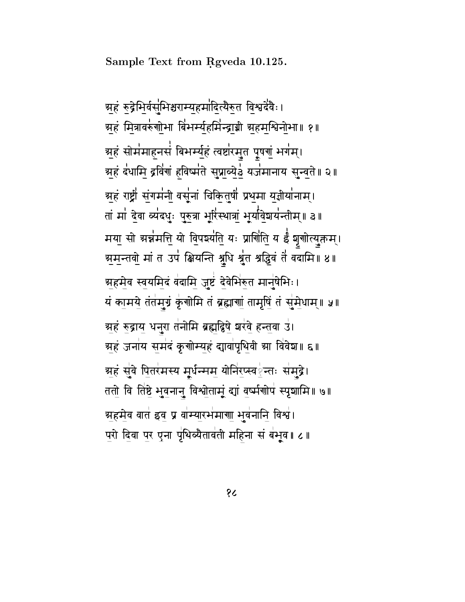Sample Text from Rgveda 10.125.

अहं रुद्रेमिर्वसूमिश्चराम्यहमांदित्यैरुत विश्वदेवैः। अहं मित्रावरुंगोभा बिंभर्म्यहमिंन्द्राग्नी अहमश्विनोभा॥ १॥ ञ्चहं सोमंमाहनसं बिभर्म्युहं त्वष्टारमुत पूषणुं भगम्। ग्रहं दंधामि द्रविंगं हविष्मंते सुप्राब्येर्ड यजनमानाय सुन्वते ॥ २ ॥ अहं राष्ट्री संगमंनी वसूंनां चिकितुषीं प्रथमा यज्ञीयांनाम्। तां मां देवा व्यंदधुः पुरुत्रा भूरिंस्थात्रां भूर्यावेशयंन्तीम्॥ ३॥ मया सो अन्नमति यो विपर्श्याति यः प्राणिति य ईं शृगोत्युक्तम्। अमुन्तवो मां त उपं क्षियन्ति श्रुधि श्रुत श्रद्धिवं तें वदामि ॥ ४ ॥ अहमेव स्वयमिदं वंदामि जुष्टं देवेभिरुत मानुषेभिः। यं कामये तंतमुग्रं कृंगोमि तं ब्रह्माणां तामृषिं तं सुमेधाम्॥ ५॥ ग्रहं रुद्राय धनुरा तंनोमि ब्रह्मद्विषे शरंवे हन्तवा उं। अहं जनांय समंदं कृगोम्यहं द्यावांपृथिवी आ विवेश॥ ६॥ अहं सुंवे पितरंमस्य मुर्धन्मम योनिरप्स्वईन्तः संमुद्रे। ततो वि तिष्ठे भुवनानु विश्वोताम्ं द्यां वर्ष्मगोपं स्पृशामि॥ ७॥ अहमेव वात इव प्र वांम्यारमंमाणा भुवंनानि विश्वं। परो दिवा पर एना पृथिव्यैतावती महिना सं बंभूव ।। ८ ।।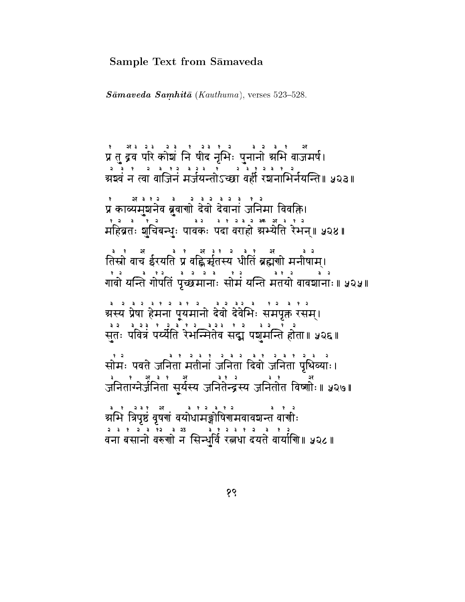### Sample Text from Sāmaveda

 $S\bar{a}maveda\ Samhit\bar{a} (Kauthuma)$ , verses 523-528.

स्यान्य कोशं निषीद नृभिः पुनानो अभि वाजमर्ष।<br>प्रतुद्रव परि कोशं निषीद नृभिः पुनानो अभि वाजमर्ष।<br>उन्हेन्द्र उन्हेन्द्र उन्हेन्द्र उन्हेन्द्र २००१ ग्र्येष्ठवं न त्वा वाजिनं मर्जयन्तोऽच्छा वर्ही रशनामिर्नयन्ति॥ ५२३॥ ः अत्रास्य के देश्य के स्वतं पुरुष<br>प्रं काव्यमुशनेव ब्रुवाणो देवो देवानां जनिमा विवक्ति।  $\frac{3}{2}$ ३१२३२३ कर महिव्रतः शचिबन्धुः पावकः पदा वराहो अभ्येति रेभन्॥ ५२४॥ है : अर्थ : अर्थ : अर्थ : अर्थ : अर्थ : अर्थ : अर्थ : अर्थ : अर्थ : अर्थ : अर्थ : अर्थ : अर्थ : अर्थ : अर्थ : <br>तिस्रो वाच ईरयति प्र वह्निर्म्नृतस्य धोतिं ब्रह्मणो मनीषाम्। ग्रस्य प्रेषा हेमना पूयमानो देवो देवेभिः समपृक्त रसम्। सुतः पवित्रं पर्य्येति रेमन्मितेव सद्म पञ्चमन्ति होता॥ प्र२६॥ ्रः ।<br>सोमः पवते जनितां मतीनां जनितां दिवो जनितां पृथिव्याः। ्र<br>जनितांग्नेर्जनिता सूर्यस्य जनितेन्द्रस्य जनितोत विष्णोः॥ ५२७॥ व है है है है ।<br>अभि त्रिपृष्ठं वृषणं वयोधामङ्गोषिणमवावशन्तं वाणीः वना बसानो वरुगो न सिन्धर्वि रत्नधा दयते वार्यागि॥ ५२८॥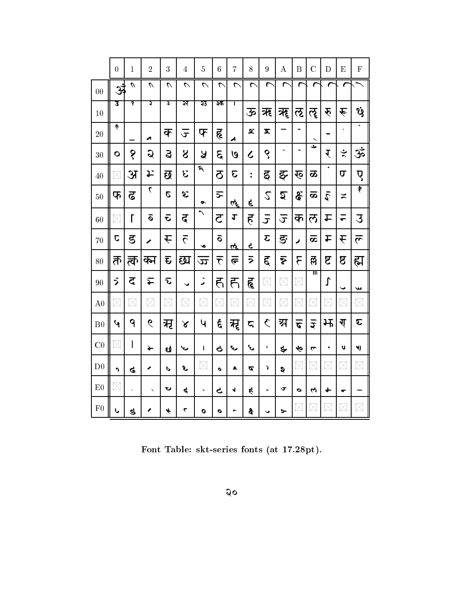|                | $\overline{0}$ | $\mathbf{1}$            | $\overline{2}$       | 3                        | $\overline{4}$           | $\overline{5}$           | $\boldsymbol{6}$        | $\overline{7}$ | 8                    | 9                       | $\bf{A}$             | $\overline{B}$           | $\overline{C}$     | D                | $\boldsymbol{\mathrm{E}}$ | ${\bf F}$             |
|----------------|----------------|-------------------------|----------------------|--------------------------|--------------------------|--------------------------|-------------------------|----------------|----------------------|-------------------------|----------------------|--------------------------|--------------------|------------------|---------------------------|-----------------------|
| 00             | r              | $\mathcal{U}$           | $\mathcal{L}$        | $\overline{\mathcal{L}}$ | $\overline{\mathcal{C}}$ | $\overline{\mathcal{L}}$ | ᠭ                       | ᡕ              | ┍                    | r                       | r                    | r                        |                    |                  |                           |                       |
| 10             | उ              | १                       | য়                   | ३                        | ञ्                       | 33                       | ३क                      | τ              | ऊ                    | ऋ                       | ॠ                    | ऌ                        | ॡ                  | रू               | $\hat{\mathbf{r}}$        | Ÿ                     |
| 20             | Ģ              |                         | ◢                    | क्                       | $\mathbf{r}$             | फ                        | ह                       | ◢              | $\mathbf{x}$         | $\overline{\mathbf{x}}$ |                      |                          |                    |                  |                           | $\ddot{\phantom{1}}$  |
| 30             | $\bullet$      | १                       | Q                    | $\mathbf{z}$             | 8                        | Å                        | $\mathcal{E}$           | ७              | $\boldsymbol{\zeta}$ | ९                       | $\ddot{\phantom{1}}$ | $\overline{\phantom{0}}$ | ٹ                  | र                | $\div$                    | $\epsilon$            |
| 40             | $\times$       | अ                       | エ                    | छ                        | E                        | $\overline{\mathbf{z}}$  | 5                       | E              | $\ddot{\phantom{0}}$ | ड्                      | ङ्                   | ख्                       | ळ                  | $\ddot{\bullet}$ | σ                         | ए                     |
| 50             | फ              | ढ                       | $\mathcal{L}$        | Ø                        | Õ.                       | $\bullet$                | $\overline{5}$          | તર્            | ę                    | $\mathcal{L}$           | হ                    | ढ़                       | ळ                  | الع              | $\geq$                    | $\ddot{\tilde{r}}$    |
| 60             | $\times$       | $\Gamma$                | ā                    | $\bar{\mathbf{c}}$       | ढ़                       | $\hat{\phantom{0}}$      | $\overline{c}$          | $\mathbf{r}$   | $\mathbf{\hat{e}}$   | $\overline{J}$          | $\overline{t}$       | क                        | ल                  | 上                | $\overline{ }$            | 3                     |
| 70             | C              | ड                       | Í                    | $\acute{\text{r}}$       | $\overline{5}$           | Ó                        | $\overline{\mathbf{o}}$ | <u>ત્ત્</u>    | Ç                    | $\overline{c}$          | ङ                    | Í                        | ಹ                  | £                | $\hat{\mathbf{t}}$        | $\tilde{\mathcal{L}}$ |
| 80             | र्त            | र्त्रु                  | क्न                  | $\bar{\mathbf{t}}$       | छ्य                      | $\overline{\varpi}$      | $\bar{\tau}$            | $\overline{G}$ | ラ                    | द्                      | $\tilde{\mathbf{v}}$ | ٤                        | త్లె               | ष्ट              | $\mathbf 8$               | ह्म                   |
| 90             | ゔ              | 5                       | 辷                    | <u>ন্</u>                | $\checkmark$             | ◢                        | ह                       | ह्             | हृ                   | $\times$                | $\times$             | $\times$                 | गा                 | $\int$           | $\checkmark$              | ىپ                    |
| A <sub>0</sub> | $\times$       | $\times$                | $\times$             | $\times$                 | $\times$                 | $\times$                 | $\times$                | $\times$       | $\times$             | $\boxtimes$             | $\boxtimes$          | $\times$                 | $\boxtimes$        | $\boxtimes$      | $\times$                  | $\boxtimes$           |
| B <sub>0</sub> | با             | 9                       | 6                    | मृ                       | ४                        | Ч                        | $\epsilon$              | मृ             | 5                    | $\zeta$                 | ञ्ज                  | ক                        | $\overline{5}$     | 圱                | ग्                        | E                     |
| C <sub>0</sub> | X              | $\overline{\mathsf{l}}$ | $\rightarrow$        | છે                       | معا                      | I                        | 9                       | E              | ىپ                   | ۷                       | ङ्                   | Ąб                       | $\mathbf{\hat{z}}$ | ۰                | U                         | 붼                     |
| D <sub>0</sub> | h              | ଙ                       | ∕                    | P                        | L                        | $\times$                 | $\bullet$               | ٩              | द                    | J                       | ą                    | $\times$                 | $\times$           | $\times$         | $\times$                  | $\times$              |
| E <sub>0</sub> | $\times$       | $\ddot{\phantom{0}}$    | $\ddot{\phantom{1}}$ | ひ                        | ત્                       | $\blacksquare$           | ح                       | √              | \$                   | $\blacksquare$          | ড                    | $\bullet$                | 4                  | ╈                | ᢎ                         |                       |
| F <sub>0</sub> | ı              | 5                       |                      | $\overline{\mathbf{r}}$  | ٣                        | $\bullet$                | ۰                       |                | Ş                    |                         | ๖−                   | $\times$                 | $\times$           | $\times$         | $\times$                  | X                     |

Font Table: skt-series fonts (at 17.28pt).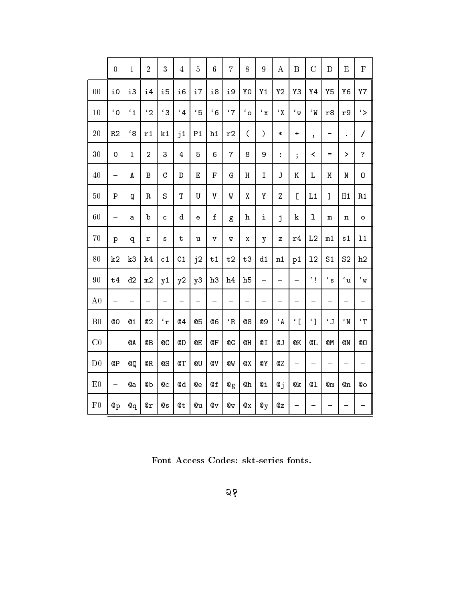|                | $\overline{0}$           | $\mathbf{1}$   | $\overline{2}$ | 3             | $\sqrt{4}$     | $\overline{5}$ | 6                       | $\overline{7}$  | 8                        | $\overline{9}$ | $\bf{A}$                 | $\overline{B}$          | $\overline{C}$           | D              | ${\bf E}$            | $\mathbf F$             |
|----------------|--------------------------|----------------|----------------|---------------|----------------|----------------|-------------------------|-----------------|--------------------------|----------------|--------------------------|-------------------------|--------------------------|----------------|----------------------|-------------------------|
| 00             | i0                       | i3             | i4             | i5            | i6             | i7             | i8                      | i9              | Y <sub>0</sub>           | Y <sub>1</sub> | Y <sub>2</sub>           | Y3                      | Y4                       | <b>Y5</b>      | Y <sub>6</sub>       | <b>Y7</b>               |
| 10             | $\mathfrak{c}_0$         | $\mathbf{1}$   | $\mathbf{C}_2$ | $^{\prime}$ 3 | $\frac{4}{4}$  | $\cdot$ 5      | $6^{\circ}$             | '7              | $\mathfrak{c}_o$         | $^\prime$ x    | $\mathbf{Y}^{\prime}$    | $\epsilon$ <sub>W</sub> | $\mathcal{U}$            | r8             | r9                   | $\zeta$                 |
| 20             | R <sub>2</sub>           | $^{\prime}$ 8  | r1             | k1            | j <sub>1</sub> | P <sub>1</sub> | h1                      | r2              | $\overline{\mathcal{L}}$ | )              | $\ast$                   | $\ddot{}$               | $\bullet$                | -              | $\ddot{\phantom{0}}$ | $\overline{1}$          |
| 30             | $\mathbf 0$              | $\mathbf{1}$   | $\overline{a}$ | 3             | $\overline{4}$ | 5              | 6                       | $\overline{7}$  | 8                        | 9              | $\ddot{\cdot}$           | $\vdots$                | $\overline{\phantom{0}}$ | $=$            | ⋗                    | $\overline{?}$          |
| 40             | $\overline{\phantom{0}}$ | A              | $\, {\bf B}$   | $\mathbf C$   | $\mathbb D$    | $\overline{E}$ | F                       | Ġ               | $\rm H$                  | I              | J                        | K                       | L                        | M              | ${\tt N}$            | O                       |
| 50             | $\overline{P}$           | Q              | ${\bf R}$      | S             | $\mathbf T$    | U              | $\overline{V}$          | W               | $\pmb{\chi}$             | Υ              | Z                        | $\overline{L}$          | L1                       | $\overline{1}$ | H1                   | R1                      |
| 60             |                          | a              | b              | $\mathbf C$   | d              | $\mathbf e$    | $\mathbf f$             | g               | h                        | i              | j                        | $\mathbf k$             | $\mathbf{1}$             | m              | n                    | $\circ$                 |
| 70             | p                        | q              | r              | S             | $\mathbf t$    | u              | $\overline{\mathbf{V}}$ | W               | x                        | y              | z                        | r4                      | L <sub>2</sub>           | m1             | s <sub>1</sub>       | 11                      |
| 80             | k <sub>2</sub>           | k3             | k <sub>4</sub> | c1            | C <sub>1</sub> | j <sub>2</sub> | t1                      | t2              | t3                       | d1             | n1                       | p1                      | 12                       | S <sub>1</sub> | S <sub>2</sub>       | h2                      |
| 90             | t4                       | d2             | m2             | y1            | y2             | y3             | h3                      | h <sub>4</sub>  | h <sub>5</sub>           | ÷,             | $\overline{\phantom{0}}$ | $\overline{ }$          | $\epsilon_{\parallel}$   | $^\prime$ s    | $\mathfrak{c}_u$     | $\epsilon$ <sub>W</sub> |
| A <sub>0</sub> |                          | $\equiv$       | -              | -             | -              | $\equiv$       |                         | -               | -                        | -              | -                        | —                       |                          | -              | -                    | -                       |
| B <sub>0</sub> | <b>@O</b>                | Q <sub>1</sub> | Q <sub>2</sub> | $\mathbf{r}$  | Q <sub>4</sub> | Q <sub>5</sub> | Q6                      | ${}^{\prime}$ R | Q8                       | 09             | $\cdot$ A                | $\epsilon$ [            | $\mathcal{L}$            | $\epsilon$ J   | $^{\circ}$ N         | $'$ T                   |
| C <sub>0</sub> | ÷                        | QA             | ©В             | <b>@C</b>     | @D             | <b>QΕ</b>      | 0F                      | @G              | @H                       | QI             | Q J                      | QK                      | QL                       | QM             | <b>QN</b>            | QO                      |
| D <sub>0</sub> | <b>@Р</b>                | @Q             | QR.            | @S            | QT             | @U             | <b>QV</b>               | QW              | QX                       | QY             | QZ                       | -                       | -                        | ÷,             | $\equiv$             | $\equiv$                |
| E <sub>0</sub> | $\overline{\phantom{0}}$ | <b>©а</b>      | @b             | ©с            | @d             | <b>©е</b>      | @f                      | @g              | @h                       | ©і             | $Q_{\text{J}}$           | 0k                      | $Q_1$                    | $_{\alpha m}$  | @n                   | Qо                      |
| F <sub>0</sub> | $^{\circ}P$              | $Q_{q}$        | $Q_T$          | 0s            | @t             | <b>©и</b>      | 0v                      | Qw              | $@{\bf x}$               | $\mathbf{Q}$ y | $@$ z                    | -                       |                          | —              | —                    | -                       |

Font Access Codes: skt-series fonts.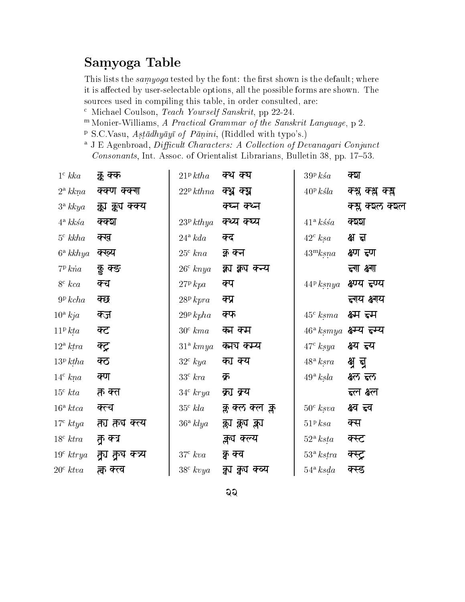# Samyoga Table

This lists the *samyoga* tested by the font: the first shown is the default; where it is affected by user-selectable options, all the possible forms are shown. The sources used in compiling this table, in order consulted, are:

- <sup>c</sup> Michael Coulson, *Teach Yourself Sanskrit*, pp 22-24.
- <sup>m</sup> Monier-Williams, A Practical Grammar of the Sanskrit Language, p 2.
- <sup>P</sup> S.C.Vasu, *Astādhyāyī of Pānini*, (Riddled with typo's.)
- <sup>a</sup> J E Agenbroad, Difficult Characters: A Collection of Devanagari Conjunct Consonants, Int. Assoc. of Orientalist Librarians, Bulletin 38, pp. 17-53.

| $1^{\rm c}$ kka                   | क्क क्क          | $21^{\rm p}\,ktha$    | क्थ क्य         | 39P ksa                | क्श               |
|-----------------------------------|------------------|-----------------------|-----------------|------------------------|-------------------|
| $2^{\mathrm{a}}\,kkn\mathfrak{a}$ | क्क्ण क्क्गा     | $22^{\rm p}$ kthna    | क्थ क्य         | $40^{\rm p}$ ksla      | क्श्न क्श्न क्स्न |
| $3^{\rm a}$ kkya                  | क्का क्वंग क्क्य |                       | क्ष्न क्श्न     |                        | क्श्ल क्श्ल क्श्ल |
| $4^{\circ}$ kks $\circ$           | क्क्श            | 23 <sup>p</sup> kthya | क्थ्य क्ष्य     | $41^{\circ}$ kssa      | ক্ষহা             |
| $5^{\rm c}$ kkha                  | क्ख              | $24^{\circ} kda$      | क्द             | $42^{\circ}$ ksa       | क्ष त्न           |
| $6^a$ kkhya                       | क्ख्य            | $25^{\circ}$ kna      | क्न क्न         | $43^{\mathrm{m}}$ ksna | क्ष्ण ह्ण         |
| $7P$ kna                          | क्नु क्ङ         | $26^{\circ}$ knya     | क्ला क्वा कन्य  |                        | न्ग क्ष्मा        |
| $8c$ $kca$                        | क्च              | $27P$ kpa             | क्प             | $44^{\rm p}$ ksnya     | क्ष्ण्य ह्ण्य     |
| 9P kcha                           | क्छ              | 28P kpra              | क्प्र           |                        | ह्र्यय क्ष्यय     |
| $10^{\rm a}$ kja                  | क्ज              | $29^p$ kpha           | क्फ             | $45^{\circ}$ ksma      | क्ष्म हम          |
| $11^{\rm p}$ kta                  | क्ट              | $30^{\circ}$ kma      | का कम           | $46^{\rm a}\,ksmya$    | क्ष्म्य ह्म्य     |
| $12^{\circ}$ ktra                 | क्ट्र            | $31^{\circ}$ kmya     | कांग कम्य       | $47^{\circ}$ ksya      | क्ष्य ह्य         |
| 13 <sup>p</sup> ktha              | क्ठ              | $32^{\circ}$ kya      | का क्य          | $48^{\rm a}~k s r a$   | क्ष न्व           |
| $14^{\circ}$ kna                  | क्ण              | $33^{\circ}$ kra      | क्र             | $49^{\rm a}\;ksla$     | क्ष्ल ब्ल         |
| $15^{\circ}$ kta                  | क्त क्त          | $34^{\circ}$ krya     | क्रा क्र्य      |                        | ब्ल क्ष्ल         |
| $16^{\circ}$ ktca                 | क्त्च            | $35^{\circ}$ kla      | क्ल क्ल क्ल क्ल | $50^{\circ}$ ksva      | क्ष्व ह्व         |
| $17^{\circ}$ ktya                 | त्ता तृंग क्त्य  | $36^{\rm a}$ klya     | क्लप क्लप क्लप  | $51P$ $ksa$            | क्स               |
| $18^{\circ}$ ktra                 | क क्त्र          |                       | क्लूच क्ल्य     | $52^{\circ}$ ksta      | क्स्ट             |
| $19^{\circ}$ ktrya                | र्तूग क्रूय कन्न | $37c$ $kva$           | कु क्व          | 53 <sup>a</sup> kstra  | क्स्ट्र           |
| $20^{\circ}$ ktva                 | त्व क्ल          | $38^{\circ}$ kvya     | क्वा क्वा कव्य  | $54^{\circ}$ ksda      | क्स्ड             |

<u>ର୍</u>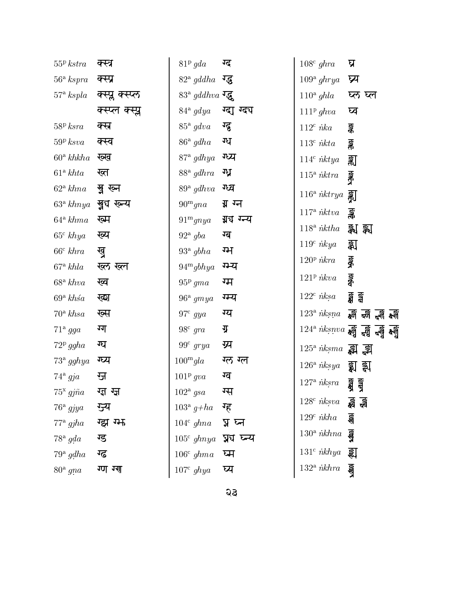| 55P kstra               | क्स्त्र         | 81 <sup>p</sup> gda            | ग्द         | $108^{\circ}$ ghra                   | घ्र                                                                                                                                    |
|-------------------------|-----------------|--------------------------------|-------------|--------------------------------------|----------------------------------------------------------------------------------------------------------------------------------------|
| $56^{\circ}$ kspra      | क्स्प्र         | $82^{\circ}$ gddha             | ग्दु        | $109^{\circ}$ ghrya                  | प्र्य                                                                                                                                  |
| $57^{\circ}$ kspla      | क्स्प्ल क्स्प्ल | $83^{\circ}$ gddhva $\sqrt{3}$ |             | $110^a$ ghla                         | ष्ठ ष्ल                                                                                                                                |
|                         | क्स्प्ल क्स्प्ल | $84^{\circ}$ gdya              | ग्दा ग्दच   | $111^p ghva$                         | घ्व                                                                                                                                    |
| 58P k s r a             | क्स्र           | $85^{\circ}$ gdva              | ग्दु        | $112^c$ <i>nka</i>                   | Ş.                                                                                                                                     |
| $59P$ $ksva$            | क्स्व           | $86^{\circ}$ gdha              | ग्ध         | $113^{\rm c}$ $\emph{ikta}$          | ङ्क                                                                                                                                    |
| $60^{\circ}$ khkha      | ख्ख             | $87^{\circ}$ gdhya             | ग्ध्य       | $114^c$ <i>nktya</i>                 | 亂                                                                                                                                      |
| $61^{\circ}$ khta       | ख्त             | $88^{\rm a}$ gdhra             | ग्ध्र       | $115^{\circ}$ nktra                  | iðick                                                                                                                                  |
| $62^{\circ} \; k h n a$ | ख्नु ख्न        | $89^{\circ}$ gdhva             | ग्ध्व       | $116^{\circ}$ nktrya $\frac{57}{20}$ |                                                                                                                                        |
| $63^{\circ}$ khnya      | खु्य रून्य      | $90^{\mathrm{m}}$ gna          | ग्न ग्न     | $117^{\circ}$ <i>nktva</i>           | ङ्क                                                                                                                                    |
| $64^{\circ} \; khm$     | ख्म             | 91 <sup>m</sup> gnya           | ग्रुघ ग्न्य | $118^a$ <i>nktha</i>                 | झ्रा झ्रा                                                                                                                              |
| $65c$ khya              | ख्य             | $92^{\mathrm{a}}$ gba          | ग्ब         | $119c$ nkya                          | झ्रा                                                                                                                                   |
| $66^{\circ}$ khra       | खु              | $93^{\circ}$ gbha              | ग्भ         | $120^{\rm p}$ nkra                   |                                                                                                                                        |
| $67^{\circ}$ khla       | ख्ल ख्ल         | $94^{\mathrm{m}}$ gbhya        | ग्न्य       |                                      | iook                                                                                                                                   |
| $68^{\rm a}$ khva       | ख्व             | $95p$ gma                      | ग्म         | $121^p$ <i>nkva</i>                  | <b>bioco</b>                                                                                                                           |
| $69^{\circ}$ khsa       | ख्श             | $96^{\rm a}$ gmya              | गम्य        | $122^c$ nksa                         | ड्वें ड्वें                                                                                                                            |
| $70^{\circ}$ khsa       | ख्स             | $97^{\circ}$ gya               | ग्य         |                                      | $123^{\circ}$ $\hbar k s$ na $\frac{1}{80}$ $\frac{1}{60}$ $\frac{1}{80}$ $\frac{1}{80}$                                               |
| $71^{\circ}$ gga        | ग्ग             | $98^{\circ}$ gra               | ग्र         |                                      | $124^a$ nksnva $\overline{\mathbf{H}}$ $\overline{\mathbf{H}}$ $\overline{\mathbf{H}}$ $\overline{\mathbf{H}}$ $\overline{\mathbf{H}}$ |
| $72^p$ ggha             | ग्घ             | $99^{\circ}$ grya              | ग्र्य       | $125^{\circ}$ nksma $\Xi$ $\P$       |                                                                                                                                        |
| $73^{\circ}$ gghya      | ग्घ्य           | $100^{\mathrm{m}}$ gla         | ग्ल ग्ल     | $126^{\rm a}$ $\hbar k s y a$        | ्य झ                                                                                                                                   |
| $74^{\circ}$ gja        | जु              | $101^p$ qva                    | ग्व         | $127^{\rm a}$ $\emph{nksra}$         | তিছে<br>তিহা                                                                                                                           |
| $75^x$ gj $\tilde{n}a$  | ग्दा ग्ज        | $102^{\circ}$ gsa              | ग्स         | $128c$ <i>nksva</i>                  |                                                                                                                                        |
| $76^{\circ}$ gjya       | ग्ज्य           | $103^{\rm a} g + ha$           | ग्ह         | $129^c$ <i>nkha</i>                  | ह्म झ                                                                                                                                  |
| $77^{\circ}$ gjha       | ग्झ ग्म         | $104^c$ ghna                   | घू घ्न      |                                      | ৱী                                                                                                                                     |
| $78^{\circ}$ gda        | ग्ड             | $105^{\circ}$ ghnya            | न्न्य घ्न्य | $130^{\circ}$ <i>nkhna</i>           | 160                                                                                                                                    |
| $79^{\circ}$ gdha       | ग्ढ             | $106^{\circ}$ ghma             | घ्म         | $131^c$ <i>nkhya</i>                 | झ                                                                                                                                      |
| $80^{\circ}$ gna        | ग्ण ग्गा        | $107^{\circ}$ ghya             | घ्य         | $132^{\circ}$ <i>nkhra</i>           | $\frac{1}{2}$                                                                                                                          |

**Q**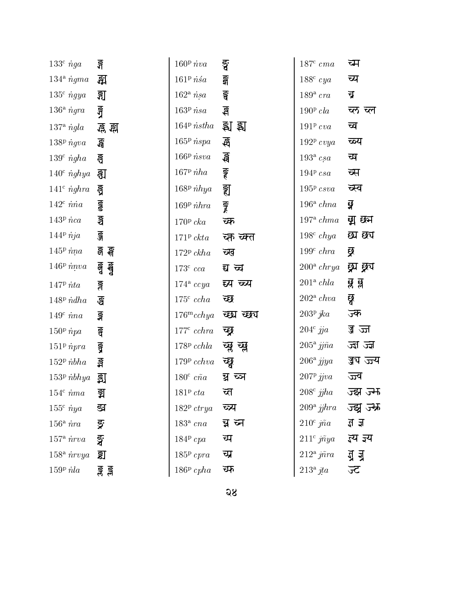| $133^{\circ}$ nga     | ङ्ग         | $160P$ nva          | ङ्ग         | $187^{\circ}$ cma              | च्म           |
|-----------------------|-------------|---------------------|-------------|--------------------------------|---------------|
| $134^{\circ} \; \eta$ | झ           | $161^p$ nsa         | <u>धुरे</u> | $188^{\circ}$ cya              | च्य           |
| $135c$ ngya           | झ           | $162^{\circ}$ nsa   | इ           | $189^{\rm a}$ cra              | च्र           |
| $136^{\circ}$ ngra    | ধ্যু        | $163^{\rm p}\,nsa$  | ई           | $190P$ cla                     | च्ल च्ल       |
| $137^{\circ}$ ngla    | .ह्र ह्म    | $164P$ <i>nstha</i> | ষ্ম য়      | $191P$ cva                     | च्व           |
| $138p$ ngva           | ্ৰন্ন       | $165^p$ nspa        | ধ্ৰী        | $192^p$ cvya                   | च्ळ्य         |
| $139^c$ ngha          | ङ्ख         | $166P$ <i>nsva</i>  | र्छन        | $193^{\rm a}$ csa              | च्प           |
| $140^{\circ}$ nghya   | ह्य         | $167^p$ <i>iha</i>  | ङ्ग         | $194P\ csa$                    | ब्स           |
| $141^c$ nghra         | ड्ड         | $168^p$ <i>ihya</i> | इ्रा        | $195P$ csva                    | च्स्व         |
| $142^c$ nna           | <b>GST</b>  | $169P$ $hba$        | iona        | $196^a$ chna                   | ध्र           |
| $143p$ nca            | ङ्ख         | $170^{\rm p}$ cka   | च्क         | $197^{\circ}$ chma             | द्या छन       |
| $144P$ nja            | ङ्ज         | $171^p$ ckta        | च्क च्क्त   | $198c$ chya                    | <i>छ</i> ा छप |
| $145^{\rm p}$ nna     | र्झ झ       | $172P$ ckha         | च्ख         | $199^c$ chra                   | ब्र           |
| $146P$ nnva           | ৰ্দ্ব ৰ্ম্ব | $173^{\circ}$ cca   | द्य च्य     | $200^{\circ}$ chrya            | ुद्र्य द्व्य  |
| $147^{\rm p}$ nta     | ङ्ग         | $174^{\circ} ccya$  | द्य च्य     | $201^{\circ}$ chla             | झ झ           |
| $148p$ <i>ndha</i>    | डु          | $175^{\circ}$ ccha  | च्छ         | $202^{\circ}$ chva             | छू            |
| $149^c$ nna           | ङ्ग         | $176^{\rm m}$ cchya | च्छा च्छप   | $203^p$ jka                    | ज्क           |
| $150p$ npa            | ङ्ग         | $177^{\circ}$ cchra | च्छ्र       | $204^{\circ}$ jja              | ज्ञ ज्ज       |
| $151p$ npra           | ड्र         | $178P$ cchla        | च्छ्र च्छ्र | $205^{\rm a}\,jj\tilde{n}a$    | ক্ৰা ক্ৰা     |
| $152p$ <i>nbha</i>    | Įğ          | $179P$ cchva        | च्छ         | $206^{\rm a}$ jjya             | ज्जय ज्ज      |
| $153p$ <i>nbhya</i>   | इ्रा        | $180^{\circ}$ cña   | च्च च्ञ     | $207^p$ jjva                   | ज्ज्व         |
| $154^c$ nma           | झ           | $181P$ cta          | च्त         | $208^{\circ}$ jjha             | ज्झ ज्म       |
| $155^{\circ}$ nya     | द्य         | $182^p$ ctrya       | च्न्य       | $209^{\circ}$ jjhra            | ज्झु ज्म      |
| $156^{\circ}$ nra     | ङ्ग         | $183a$ cna          | न्न ब्न     | $210^{\circ}$ jña              | ৱ ৱ           |
| $157^{\circ}$ nrva    | ষ্ঠ         | $184P$ cpa          | च्प         | $211^{\circ}$ jñya             | ज्य ज्ञ्य     |
| $158a$ <i>nrvya</i>   | ड्य         | $185P$ cpra         | च्प्र       | $212^{\circ}$ j $\tilde{n}$ ra | ये ये         |
| $159P$ $nla$          | ङ्क ङ्क     | $186P$ cpha         | च्फ         | $213^{\circ}$ jta              | ज्ट           |
|                       |             |                     |             |                                |               |

ज़ुय ज़्य

ज्झ ज्म

ज्झु ज्म्म

च्ल च्ल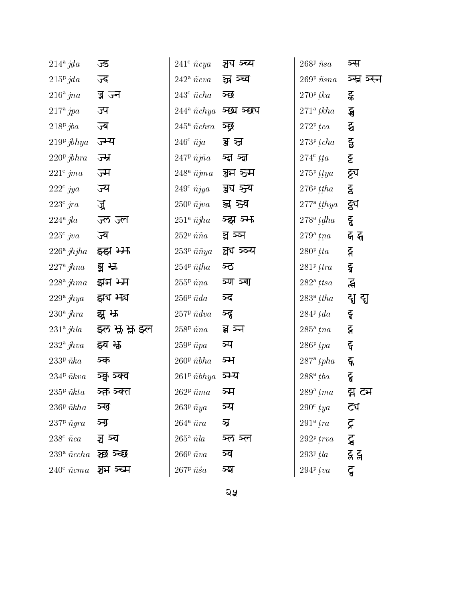| ज्ड           | $241^{\circ}$ $\tilde{n}$ cya              | ञ्चय ञ्च्य | $268$ <sup>p</sup> $\tilde nsa$                                                                                                                                                                                                 | ञ्स            |
|---------------|--------------------------------------------|------------|---------------------------------------------------------------------------------------------------------------------------------------------------------------------------------------------------------------------------------|----------------|
| ज्द           | $242^{\circ}$ $\tilde{n}$ cva              |            | $269$ <sup>p</sup> $\tilde{n} s n a$                                                                                                                                                                                            | ञ्स्न ञ्स्न    |
| न्न ज्न       | $243^{\circ}$ $\tilde{n}$ cha              | ञ्छ        | $270P$ tka                                                                                                                                                                                                                      | द्भ            |
| ज्प           |                                            |            | $271^{\circ}$ tkha                                                                                                                                                                                                              | द्ध            |
| ज्ब           | $245^{\circ}$ <i>ñchra</i>                 |            | $272P$ tca                                                                                                                                                                                                                      | यु             |
| ज्म्य         | $246^{\circ}$ $\tilde{p}j a$               | ञ्ज ञ      | $273P$ tcha                                                                                                                                                                                                                     | दु             |
| ज्म्र         | $247^{\rm p}$ $\tilde{nj}\tilde{n}a$       |            | $274^{\circ}$ tta                                                                                                                                                                                                               | ट्ट            |
| ज्म           | $248^{\circ}$ $\tilde{n}$ <i>jma</i>       |            | $275^{\rm p}$ ttya                                                                                                                                                                                                              | ट्ट्य          |
| ज्य           | $249^{\circ}$ $\tilde{nj}ya$               |            | $276P$ ttha                                                                                                                                                                                                                     | टु             |
| ज्र           | $250^{\rm p}$ $\tilde{n}jva$               |            | $277^{\circ}$ thya                                                                                                                                                                                                              | ट्ठ्य          |
| ज्ल ज्ल       | $251^{\circ}$ $\tilde{n}$ jha              |            | $278^{\circ} t dha$                                                                                                                                                                                                             | ट्टु           |
| ज्व           | $252^{\rm p}$ $\tilde{m}\tilde{n}a$        | ञ्च ञ्ञ    | $279^{\circ}$ tna                                                                                                                                                                                                               | क्ष क्ष        |
| झ्झ म्भ       | $253^{\rm p}$ $\tilde{n}$ $\tilde{n}$ $ya$ |            | $280P_{t}t a$                                                                                                                                                                                                                   | ट्न            |
| झ म्न         | $254P \nightharpoonup$ ntha                | ਨ          | $281^{\rm p}$ ttra                                                                                                                                                                                                              | द्र            |
| झम भ्रम       | $255^{\rm p}$ $\tilde{n}$ na               | ञ्ग ञ्ग    | $282^{\circ}$ ttsa                                                                                                                                                                                                              | द्भ            |
| झय भय         | $256P\ \tilde{n}da$                        | ञ्द        | $283^{\circ}$ ttha                                                                                                                                                                                                              | द्य द्य        |
| झु भ्र        | $257P \hat{n} dva$                         | ञ्ह        | $284P_t da$                                                                                                                                                                                                                     | ट्             |
| इल म्न म्न इल | $258P~\tilde{n}na$                         | ञ्च ञ्च    | $285^{\rm a}$ tna                                                                                                                                                                                                               | $\mathbf{F}$   |
| इव म्र        | $259^{\rm p}$ $\tilde{n}$ <i>pa</i>        | ञ्प        | $286^{\rm p}$ tpa                                                                                                                                                                                                               | द              |
| ञ्क           | $260^{\rm p}$ $\tilde{n}bha$               | ञ्म        | $287^{\circ}$ tpha                                                                                                                                                                                                              | द्ग            |
| ञ्ज्ञ ञ्क्व   |                                            |            | $288^{\rm a}$ tba                                                                                                                                                                                                               | द्व            |
| ञ्क ञ्क्त     | $262^{\rm p}$ $\tilde{n}$ ma               | ञ्म        | $289^{\rm a}~ tma$                                                                                                                                                                                                              | द्म टन         |
| ञ्ख           | $263P \n$ $\tilde{n}ya$                    | ञ्य        | $290^{\circ}$ tya                                                                                                                                                                                                               | ट्य            |
| ञ्ग           | $264$ <sup>a</sup> $\tilde{n}$ ra          | ञ्र        | $291$ <sup>a</sup> tra                                                                                                                                                                                                          | $\zeta$        |
| ञ्च ञ्च       | $265^{\circ}$ $\tilde{m}$ la               | ञ्ल ञ्ल    | $292P$ trva                                                                                                                                                                                                                     | $\vec{\bm{s}}$ |
| ञ्च ञ्च       | $266P$ $\tilde{n}va$                       | ञ्ब        | $293P$ tla                                                                                                                                                                                                                      | द्र द्र        |
| ञ्चन ञ्च्म    | $267P\$ ñśa                                | স্ম        | $294P$ tva                                                                                                                                                                                                                      | ट्व            |
|               |                                            |            | ুদ্ধ স্ব<br>$244^{\mathrm{a}}$ $\tilde{n}$ chya $\overline{\nu}$ $\overline{\nu}$ $\overline{\nu}$<br>ञ्छ<br>হ্ব হ্ব<br>ञ्जम ञ्ज्म<br>ञ्जूष ञ्ज्य<br>ञ्ज ञ्ज्व<br>ञ्झ ञ्म<br>ञ्चय ञ्ञ्य<br>$261^{\circ}$ $\tilde{n} b$ hya ञ्मय |                |

**JA**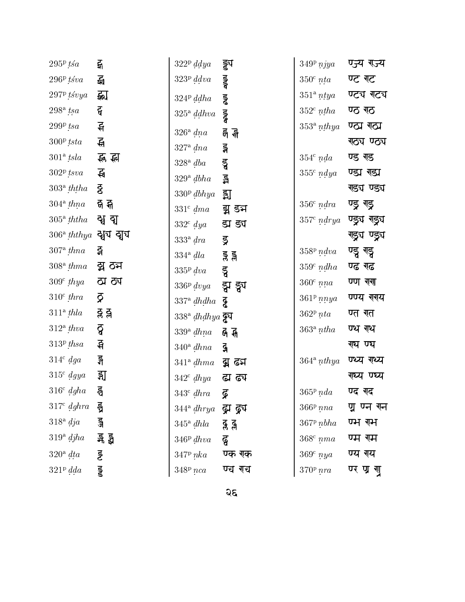| $295^{\rm p}\,t$ śa                                          | द्भ       |
|--------------------------------------------------------------|-----------|
| $296P$ tśva                                                  | द्भ       |
| $297P$ <i>tśvya</i>                                          |           |
| $298a$ tsa                                                   | द         |
| $299P$ tsa                                                   | इ         |
| $300^{\rm p}\,tsta$                                          | स्त       |
| $301^{\rm a}$ tsla                                           | रू स्न    |
| $302^{\rm p}$ ts $va$                                        | स्ब       |
| $303^{\circ}$ ththa $\overline{g}$                           |           |
| $304^{\rm a}$ $thna$ $-$ বী কী                               |           |
| $305^{\rm a}$ ththa $\,$ चु] व्यु                            |           |
| $306^{\rm a}$ ththya  ষ্মৃয ব্যুয                            |           |
| $307^{\rm a}$ thna - 즉                                       |           |
| $308^{\rm a}$ $thma$ $\bf \overline{q}$ $\bf \overline{O}$ ম |           |
| $309^{\rm c}$ $thya$ $\;$ ठ्य ठ्य                            |           |
| $310^{\circ}$ thra                                           | ζ         |
| $311^{\circ}$ thla                                           | ੍ਰੜ੍ਹ ੜ੍ਹ |
| $312^{\circ}$ thva                                           | ਰ੍ਹੋ      |
| $313^{\rm p}$ thsa                                           | सि        |
| $314^{\circ}$ dga                                            | ङ्ग       |
| $315^{\circ}$ dgya                                           | ु झु      |
| $316^{\circ}$ dgha                                           | इ         |
| $317^{\circ}$ dghra $\bar{5}$                                |           |
| $318^{\circ}$ dja                                            | ुड        |
| $319^{\rm a}$ $djha$ $\qquad$ ङ्ग ड्वै                       |           |
| $320^{\circ}$ dta                                            | ड्ड       |
| $321^{\rm p}$ dda                                            | डु        |
|                                                              |           |

| $322^{\rm p}$ ddya                    | ड्ड्य      |
|---------------------------------------|------------|
| 323 <sup>p</sup> ddu                  | र<br>पुरुष |
| $324^{\rm p}$ ddha                    | ड्ड        |
| $325^{\circ}$ ddhva                   | ूडू        |
| $326^{\circ}$ dna                     | र्न र्न    |
| $327^{\circ}$ dna                     | ड्ग        |
| $328^{\rm a}$ dba                     | डु         |
| $329^{\circ}$ dbha                    | ន្ន        |
| $330p$ $dbhya$ 习                      |            |
| $331^{\circ}$ dma                     | ड्म डन्न   |
| $332^{\circ}$ dya                     | ड्य ड्य    |
| $333^{\circ}$ dra                     | ड्र        |
| $334^{\circ}$ dla                     | ड्र ड्र    |
| $335p$ dva                            | ड्ड        |
| $336P$ dvya                           | झ ङ्ग्र    |
| $337^{\rm a}$ dhdha                   | ढू         |
| $338^{\mathrm{a}}$ dhdhya <b>ढूप</b>  |            |
| $339^{\circ}$ dhna $\overline{6}$ के  |            |
| $340^{\circ} dhna$                    | ୍କୁ        |
| $341^{\circ}$ $dhma$ द्वी ढन          |            |
| $342^{\circ}$ $dhya$ $\quad$ द्धा ह्य |            |
| $343^{\circ}$ dhra                    | ब्र        |
| $344^{\circ}$ dhrya द्धाद्धा          |            |
| $345^{\circ}$ dhla                    | ड़ ड्र     |
| $346P$ dhva                           | ढु         |
| $347P$ nka                            | ण्क रक     |
| $348P$ nca                            | ण्च रच     |

| $349^{\rm p}$<br>$\emph{nya}$       | ण्ज्य राज्य    |
|-------------------------------------|----------------|
| $350^{\rm c}$<br>nta                | ण्ट गट         |
| $351^{\rm a}$<br>$\it ntya$         | ण्ट्य गट्य     |
| $352^{\rm c}$<br>$n_{\mathit{tha}}$ | ण्ठ गठ         |
| $353^{\rm a}$<br>nthya              | ण्ठा राठा      |
|                                     | गठ्य ण्ठ्य     |
| $354^{\rm c}$<br>nda                | ण्ड गड         |
| $355^{\circ}$ ndya                  | ण्डा राडा      |
|                                     | राड्य ण्ड्य    |
| $356^{\circ}$ ndra                  | ण्ड्र गड्र     |
| $357c$ ndrya                        | ण्ड्र्य रा्ड्य |
|                                     | गड्रुय ण्ड्र्य |
| $358P$ ndva                         | ण्डु गड्ड      |
| $359^{\rm c}$<br>ndha               | ण्ढ गढ         |
| $360^\circ$<br>nna                  | ण्ण गुगा       |
| $361^{\rm p}$<br>nnya               | ण्णय गगय       |
| $362^{\rm p}$ nta                   | ण्त गत         |
| $363^{\rm a}$<br>n tha              | ण्य गथ         |
|                                     | ग्घ ण्घ        |
| $364$ <sup>a</sup> nthya            | ण्य्य गथ्य     |
|                                     | गध्य ण्घ्य     |
| $365^{\rm p}$ nda                   | ण्द गद         |
| $366^{\rm p}$ nna                   | प्न ण्न गन     |
| $367P$ $nbha$                       | ण्भ राभ        |
| $368^{\circ}$ nma                   | ण्म रम         |
| $369^{\circ}$ nya                   | ण्य गय         |
| $370^{\rm p}$ nra                   | ण्र ण्र गु     |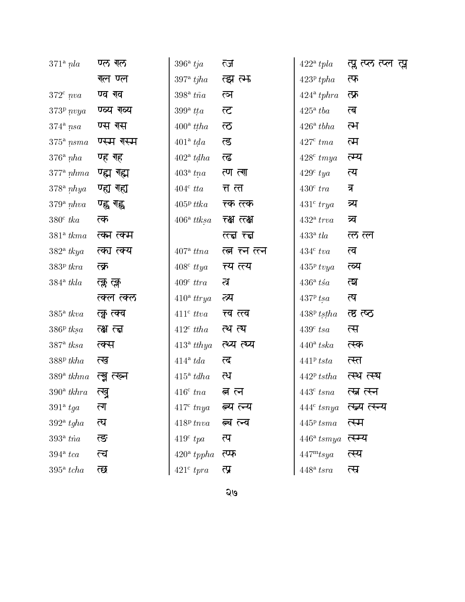| $371a$ nla                     | ण्ल गल      | 396 <sup>a</sup> tja | ल्ज                 | $422^{\circ}$ tpla            | त्प्ल त्य्ल त्म्ल त्प्ल |
|--------------------------------|-------------|----------------------|---------------------|-------------------------------|-------------------------|
|                                | गल ण्ल      | $397^{\circ}$ tjha   | त्झ त्म             | $423^{\rm p}\,tpha$           | त्फ                     |
| $372^{\circ}$ nva              | ण्व गव      | $398^{\circ}$ tña    | ल्न                 | $424^{\circ} tphra$           | त्फ्र                   |
| $373^p$ nvya                   | ण्व्य राव्य | $399^{\circ}$ tta    | ल्ट                 | $425^{\circ}$ tba             | ल                       |
| $374^{\circ}$ nsa              | ण्स रस      | $400^{\circ}$ ttha   | $\overline{\infty}$ | $426^{\circ}$ tbha            | ल्म                     |
| $375^{\circ}$ nsma             | ण्स्म गस्म  | $401^{\circ} tda$    | लु                  | $427^{\circ}$ tma             | त्म                     |
| $376^{\circ}$ nha              | ण्ह गह      | $402^{\circ}$ tdha   | ल्ढ                 | $428^{\circ}$ tmya            | त्म्य                   |
| $377^{\circ} \; n h$ <i>ma</i> | ण्ह्म रह्म  | $403^{\circ}$ tna    | त्ण त्गा            | $429^{\circ}$ tya             | त्य                     |
| $378^{\circ}$ nhya             | ण्ह्य रहा   | $404^{\circ}$ tta    | त्त ल               | $430^{\circ}$ tra             | त्र                     |
| $379^{\circ}$ nhva             | ण्ह्व ग्ह्व | $405^{\rm p}$ ttka   | त्क त्त्क           | $431^{\circ}$ trya            | त्र्य                   |
| $380^{\circ}$ tka              | त्क         | $406^{\rm a}$ ttksa  | रक्ष लक्ष           | $432^{\circ}$ trva            | त्र्व                   |
| $381a$ tkma                    | ल्का लग्म   |                      | ल्हा ल्हा           | 433 <sup>a</sup> tla          | ल्ल ल्ल                 |
| $382^{\circ}$ tkya             | त्का त्क्य  | $407^{\circ}$ ttna   | त्व त्न त्न         | $434^{\circ}$ tva             | त्व                     |
| $383P$ tkra                    | त्क्र       | $408^{\circ}$ ttya   | त्य त्त्य           | $435p$ tvya                   | ल्य                     |
| $384^{\circ}$ tkla             | त्क्ल त्क्ल | $409^{\circ}$ ttra   | ल्न                 | $436^{\circ}$ ts <sup>a</sup> | ম্মে                    |
|                                | त्क्ल त्क्ल | $410^{\circ}$ ttrya  | ल्य                 | $437P$ tsa                    | त्ष                     |
| $385^{\circ}$ tkva             | त्कु त्क्व  | $411^{\circ}$ ttva   | त्त्व त्त्व         | $438P$ tstha                  | त्ष त्ष्ठ               |
| $386P$ tksa                    | त्क्ष त्त्व | $412^{\circ}$ ttha   | त्थ त्य             | $439c$ tsa                    | त्स                     |
| $387^{\circ}$ tksa             | ल्क्स       | $413^{\circ}$ tthya  | ल्य ल्य             | $440^{\circ}$ tska            | त्स्क                   |
| $388P$ tkha                    | त्ख         | $414^{\circ} tda$    | ल्द                 | $441^p$ tsta                  | त्स्त                   |
| $389^{\circ}$ tkhna            | त्ख्न त्ख्न | $415^{\circ} t dh$ a | त्थ                 | $442P$ tstha                  | त्स्थ त्स्य             |
| $390^{\circ}$ tkhra            | त्खृ        | $416^{\circ}$ tna    | त ल                 | $443^{\circ}$ tsna            | रन्न रून                |
| $391a$ tga                     | <u>ला</u>   | $417^{\circ}$ tnya   | ल्य ल्य             | $444^{\circ}$ tsnya           | त्स्य त्स्न्य           |
| $392^{\circ}$ tgha             | त्घ         | $418P$ tnva          | त्व ल्व             | $445P$ tsma                   | त्स्म                   |
| 393 <sup>a</sup> tna           | त्ङ         | $419^{\circ}$ tpa    | त्प                 | $446^{\circ}$ tsmya           | त्स्म्य                 |
| $394$ <sup>a</sup> tca         | त्च         | $420^{\circ}$ tppha  | त्प्फ               | $447^{\rm m}$ tsya            | त्स्य                   |
| $395^{\circ}$ tcha             | छ           | $421^{\circ}$ tpra   | त्प्र               | $448^{\rm a}~tsra$            | त्स                     |

 $\overline{Q}$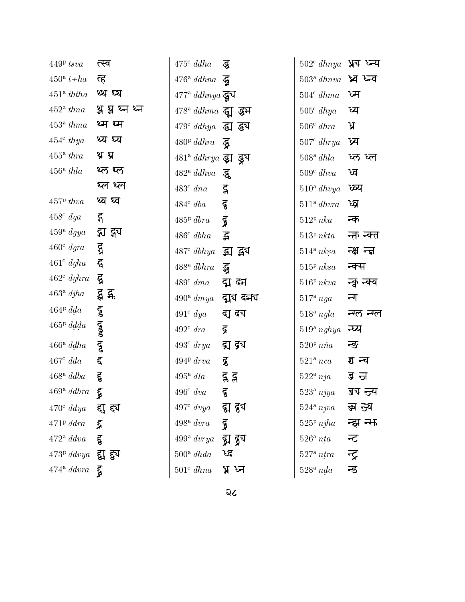| $449P$ tsva                                           | त्स्व                       | $475^{\circ}$ ddha                                                | द्ध          | $502^{\rm c}$ $dhnya$ ¥য চ্য  |            |
|-------------------------------------------------------|-----------------------------|-------------------------------------------------------------------|--------------|-------------------------------|------------|
| $450^{\circ} t + ha$                                  | ऌ                           | $476^{\circ}$ ddhna $\overline{g}$                                |              | $503^{\circ}$ dhnva भ्वं जन्व |            |
| 451 <sup>a</sup> ththa                                | थ्य व्य                     | $477^{\rm a}$ ddhnya द्वय                                         |              | $504^{\circ} dhma$            | ਯ          |
| 452 <sup>a</sup> than a                               | थ्न ध्र ध्न थ्न             | $478^{\rm a}$ ddhma द्वा द्धन                                     |              | $505^{\circ}$ dhya            | ध्य        |
| 453 <sup>a</sup> thma                                 | थ्म ध्म                     | $479^{\circ}$ ddhya $\overline{31}$ $\overline{3}$ $\overline{4}$ |              | $506^{\circ}$ dhra            | ्ध         |
| $454^{\circ}$ thya                                    | थ्य ध्य                     | $480P$ ddhra                                                      | ुद्ध         | $507^{\circ}$ dhrya           | ध्य        |
| $455^{\circ}$ thra                                    | थ्र थ्र                     | $481^{\circ}$ ddhrya द्धा द्ध्य                                   |              | $508^{\rm a}$ dhla            | ध्ल ध्ल    |
| $456^{\circ}$ thla                                    | थ्ल थ्ल                     | $482^{\mathrm{a}}$ ddhva                                          | द्ध          | $509^{\circ}$ dhva            | ध्व        |
|                                                       | थ्ल थ्ल                     | $483^{\circ}$ dna                                                 | $\mathbf{z}$ | $510^{\circ}$ dhvya           | ष्व्य      |
| $457P$ thva                                           | थ्व घ्व                     | $484^{\circ}$ dba                                                 | ढु           | $511^{\circ}$ dhvra           | ष्व        |
| $458^{\circ}$ dga                                     | द्ग                         | $485P$ dbra                                                       | Η            | $512^p$ nka                   | न्क        |
| $459^{\circ}$ dgya                                    | ह्य ह्य                     | $486^{\circ}$ dbha                                                | $\mathbf{z}$ | 513 <sup>p</sup> nkta         | न्क न्क्त  |
| $460^{\circ}$ dgra                                    | ЪX                          | $487^{\circ}$ dbhya                                               | द्धा द्वय    | $514^{\circ} nksa$            | न्क्ष न्दा |
| $461^{\circ}$ dgha                                    | $\boldsymbol{\vec{\theta}}$ | $488^{\circ}$ dbhra                                               | द्भ          | 515 <sup>p</sup> nksa         | न्क्स      |
| $462^{\circ}$ dghra                                   | द्व                         | $489^{\circ}$ dma                                                 | द्म ब्म      | $516^p$ nkva                  | न्कु न्क्व |
| $463^{\circ}$ djha                                    | र्द्ध द्व                   | $490^{\circ}$ dmya                                                | द्मुघ दमय    | $517^{\circ}$ nga             | न्ग        |
| $464P\,dda$                                           | $\mathbf{\tilde{g}}$        | $491^{\circ}$ dya                                                 | दा दंग       | $518^{\circ}$ ngla            | न्गल न्गल  |
| $465^{\rm p}$ ddda                                    |                             | $492^{\circ}$ dra                                                 | द्र          | $519^{\circ}$ nghya           | न्प्य      |
| $466^{\circ}$ ddha                                    | <b>POOL</b> NOO             | $493^{\circ}$ drya                                                | द्रा द्र्य   | $520^p$ nna                   | न्ङ        |
| $467^{\circ}$ dda                                     | ह                           | 494P drva                                                         | डू           | $521a$ nca                    | इ न्च      |
| $468^{\rm a}$ ddba                                    | $\epsilon$                  | $495^{\circ}$ dla                                                 | द्ग द्ग      | $522^{\circ}$ nja             | ज्ञ ज      |
| $469^{\circ}$ ddbra                                   | द्ध                         | $496^{\circ}$ dva                                                 | ढु           | $523a$ njya                   | ज्ञय न्जय  |
| $470^{\circ}$ ddya                                    | ा ह्य                       | $497^{\circ}$ dvya                                                | ह्य हुप      | $524$ <sup>a</sup> njva       | झ न्नव     |
| $471P$ ddra                                           | ्रद्र                       | $498^{\rm a}$ dvra                                                | द्व          | $525p$ njha                   | न्झ न्म    |
| $472^{\circ} ddu$                                     | हू                          | $499^{\rm a}$ dvrya                                               | ुद्रा हुप    | $526^{\circ}$ nta             | न्ट        |
| $473^{\rm p}$ $ddvya$ $\overline{51}$ $\overline{53}$ |                             | $500^{\circ}$ dhda                                                | ष्ट्र        | $527^{\circ}$ ntra            | न्द्र      |
| $474^{\circ}$ ddvra                                   | डू                          | $501^{\circ}$ dhna                                                | प्न ध्न      | $528^{\circ}$ nda             | न्ड        |
|                                                       |                             |                                                                   |              |                               |            |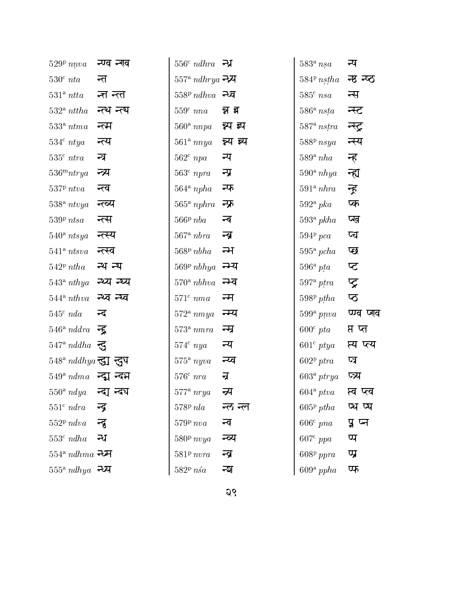| $529P$ nnva                              | न्ण्व न्गव  | $556^c$ ndhra $-7\frac{1}{2}$ |           | $583^{\circ}$ nsa        | न्ष         |
|------------------------------------------|-------------|-------------------------------|-----------|--------------------------|-------------|
| $530^{\rm c}$ nta                        | न्त         | $557^{\circ}$ ndhrya न्ध्र्य  |           | $584P$ nstha             | न्छ न्ष्ठ   |
| 531 <sup>a</sup> n t t a                 | न्त न्त     | $558P$ ndhva न्य              |           | $585^{\circ}$ nsa        | न्स         |
| $532^{\circ}$ nttha                      | न्त्थ न्त्य | $559c$ nna                    | न्न झ     | $586^{\circ}$ nsta       | न्स्ट       |
| $533a n$ tma                             | न्त्म       | $560^{\circ}$ nnpa            | न्न्य झ्प | $587$ <sup>a</sup> nstra | न्स्ट्र     |
| $534^{\circ}$ ntya                       | न्त्य       | $561$ <sup>a</sup> nnya       | न्न्य झ्य | $588P$ nsya              | न्स्य       |
| 535 <sup>c</sup> ntra                    | ন্স         | $562c$ npa                    | न्प       | $589^{\circ}$ nha        | न्त         |
| $536^{\mathrm{m}}$ ntrya                 | न्त्र्य     | $563c$ npra                   | न्प्र     | $590^{\circ}$ nhya       | न्ह्य       |
| $537^p$ ntva                             | न्त्व       | $564^a$ npha                  | न्फ       | 591 <sup>a</sup> hbra    | न्त्र       |
| $538^{\circ}$ ntvya                      | न्ल्य       | $565^{\circ}$ nphra           | न्फ्र     | $592^{\circ} pka$        | प्क         |
| $539P$ ntsa                              | न्त्स       | $566P$ nba                    | न्ब       | $593^{\circ}$ pkha       | प्प्व       |
| $540^{\circ}$ ntsya                      | न्त्स्य     | $567$ <sup>a</sup> $nbra$     | न्त्र     | $594P$ pca               | प्च         |
| $541$ <sup>a</sup> ntsva                 | न्त्स्व     | $568P$ $nbha$                 | न्म       | $595^{\circ}$ pcha       | प्छ         |
| $542^p$ ntha                             | न्थ न्य     | $569^p$ nbhya                 | न्म्य     | $596^{\circ}$ pta        | प्ट         |
| $543^{\circ}$ nthya                      | न्थ्य न्य्य | $570^{\circ}$ nbhva           | न्म्व     | $597^{\circ}$ ptra       | प्र         |
| $544$ <sup>a</sup> nthva                 | न्थ्व न्य्व | $571^c$ nma                   | न्म       | $598p$ ptha              | प्ठ         |
| $545^{\circ}$ nda                        | न्द         | $572$ <sup>a</sup> nmya       | न्म्य     | $599^{\circ}$ pnva       | प्ण्व प्लव  |
| $546^{\circ}$ nddra $\overline{\bullet}$ |             | 573 <sup>a</sup> m            | न्म       | $600^{\circ}$ pta        | प्त प्त     |
| $547^{\circ}$ nddha $\overline{3}$       |             | $574^{\circ}$ nya             | न्य       | $601^{\circ}$ ptya       | प्य प्ल्य   |
| $548^{\circ}$ nddhya न्दुय न्दुय         |             | $575^{\circ}$ nyva            | न्प्व     | 602 <sup>p</sup> ptra    | प्त्र       |
| $549^{\degree}$ $ndma$ न्द्म न्दर्भ      |             | $576^{\circ}$ nra             | न्र       | $603^{\circ}$ ptrya      | प्र्य       |
| $550^{\rm a}$ $ndya$ क्दा न्दय           |             | $577^{\rm a}$ nrya            | न्य       | $604^{\circ}$ ptva       | प्त्व प्त्व |
| 551 <sup>c</sup> ndra                    | न्द्र       | $578P$ nla                    | न्ल न्ल   | $605p$ ptha              | ष्य ष्य     |
| $552P$ ndva                              | न्द्र       | $579P$ nva                    | न्व       | $606^{\circ}$ pna        | पू प्न      |
| 553 <sup>c</sup> ndha                    | न्ध         | $580^{\rm p}$ nvya            | न्व्य     | $607^{\circ}$ ppa        | प्प         |
| $554^{\circ}$ ndhma न्ध्म                |             | $581^p$ nvra                  | न्त्र     | $608p$ ppra              | प्प्र       |
| $555^{\rm a}$ ndhya न्ध्य                |             | $582P$ $nsa$                  | ন্ম       | $609^{\rm a}$ ppha       | फ           |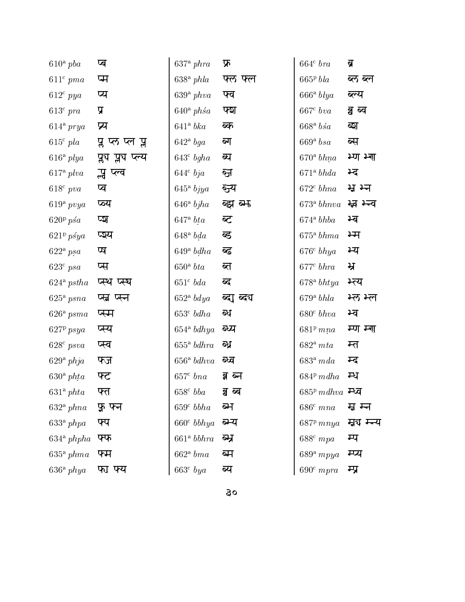| $610^a$ pba           | प्ब                 | $637^{\circ}$ phra                 | फ्र             | $664c$ bra                | ब्र         |
|-----------------------|---------------------|------------------------------------|-----------------|---------------------------|-------------|
| $611^c$ pma           | प्म                 | $638^{\circ}$ phla                 | फ्ल फ्ल         | $665P$ bla                | ब्ल ब्ल     |
| $612^{\circ}$ pya     | प्य                 | $639^{\circ}$ phva                 | फ्व             | $666^{\rm a}$ blya        | ब्ल्य       |
| $613^{\circ}$ pra     | प्र                 | $640^{\circ}$ phs <sup>a</sup>     | फ्श             | $667c$ bva                | ब्रु ब्व    |
| $614^{\circ}$ prya    | प्र                 | $641$ <sup>a</sup> bka             | ब्क             | $668^{\mathrm{a}}$ bs $a$ | ब्श         |
| $615^{\circ}$ pla     | प्ल प्ल प्ल         | $642^{\circ}$ bga                  | ब्ग             | $669$ <sup>a</sup> bsa    | ब्स         |
| $616^{\circ}$ plya    | प्लुंघ प्लूंघ प्लूय | $643^{\circ}$ bgha                 | ब्घ             | 670 <sup>a</sup> b h n a  | म्ण म्या    |
| $617^{\circ}$ plva    | न्ध प्ल्व           | $644^{\circ}$ bja                  | ञ्ज             | $671$ <sup>a</sup> bhda   | म्द         |
| $618^{\circ}$ pva     | प्व                 | $645^{\circ}$ bjya                 | ञ्ज्य           | $672^{\circ} b h n a$     | ਸ਼ ਮਾ       |
| $619^a$ pvya          | ष्य                 | $646^{\circ}$ bjha                 | ब्झ ब्म         | $673$ <sup>a</sup> bhnva  | म्ब म्न्व   |
| $620p$ ps $a$         | ঢ্ম                 | $647^{\rm a}\; bta$                | ब्ट             | $674$ <sup>a</sup> bhba   | म्ब         |
| $621^p$ psya          | प्ञ्य               | $648^{\mathrm{a}} bda$             | ब्द             | $675^{\circ} \; b h m a$  | भ्म         |
| $622^{\circ}$ psa     | प्प                 | $649$ <sup>a</sup> $bdha$          | ब्द             | 676 <sup>c</sup> bhya     | भ्य         |
| $623^{\circ} psa$     | प्स                 | 650 <sup>a</sup> bta               | ब्त             | 677 <sup>c</sup> bhra     | ਮ੍ਰ         |
| $624^{\circ}$ pstha   | प्स्थ प्स्थ         | $651^{\circ}$ bda                  | ब्द             | $678^{\rm a}$ bhtya       | म्त्य       |
| $625^{\circ} psna$    | प्स प्स्न           | 652 <sup>a</sup> bdya              | ब्दा ब्दय       | $679$ <sup>a</sup> bhla   | म्ल म्ल     |
| $626^{\circ} psma$    | प्स्म               | 653 <sup>c</sup> b <sub>dh</sub> a | ब्ध             | $680c b$ hva              | भ्व         |
| $627P$ psya           | प्स्य               | $654$ <sup>a</sup> bdhya           | ब्य             | $681^p$ mna               | म्ण म्ग     |
| $628^{\circ}$ psva    | प्स्व               | $655^{\circ}$ bdhra                | ब्ध             | $682^{\mathrm{a}}\ mta$   | म्त         |
| $629^{\circ}$ phja    | फ्ज                 | $656^{\circ}$ bdhva                | ब्ज्व           | 683 <sup>a</sup> mda      | म्द         |
| $630^{\circ}$ phta    | फ्ट                 | 657 <sup>c</sup> bna               | ब्न ब्न         | $684P$ mdha               | म्ध         |
| 631 <sup>a</sup> phta | फ्त                 | $658^{\circ}$ bba                  | <u>a</u><br>ब्ब | $685^p$ mdhva म्ध्व       |             |
| $632^{\circ}$ phna    | फ़ फ्न              | 659 <sup>c</sup> b bha             | ब्म             | $686^c$ mna               | म्न म्न     |
| 633 <sup>a</sup> phpa | फ्प                 | 660 <sup>c</sup> b bhya            | ब्म्य           | $687^p$ mnya              | म्न्य म्न्य |
| $634^{\circ}$ phpha   | फ्फ                 | 661 <sup>a</sup> bbhra             | ब्स्र           | $688^{\circ}$ mpa         | म्प         |
| $635^{\circ}$ phma    | फ्म                 | $662$ <sup>a</sup> bma             | ब्म             | $689^{\rm a}$ mpya        | म्प्य       |
| $636^{\circ}$ phya    | फा फ्य              | $663^{\circ}$ bya                  | ब्य             | $690^{\circ}$ mpra        | म्प्र       |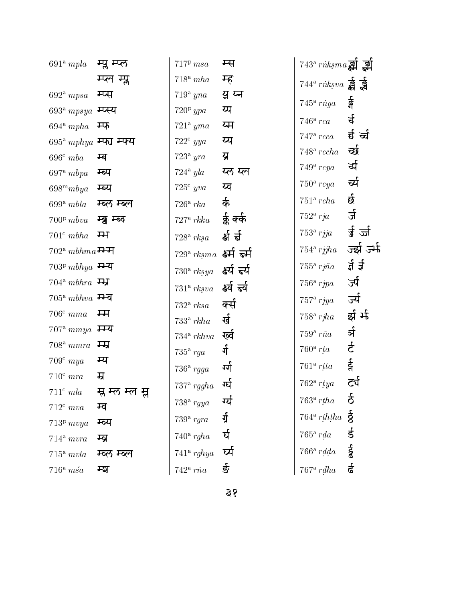| 691 <sup>a</sup> mpla               | म्प्ल म्प्ल     | $717P$ msa                        | म्स         | $743^{\circ}$ rnksma $\overrightarrow{31}$ ड्री    |                 |
|-------------------------------------|-----------------|-----------------------------------|-------------|----------------------------------------------------|-----------------|
|                                     | म्प्ल म्प्ल     | $718^a$ mha                       | म्ह         | $744^{\circ}$ rnksva $\frac{1}{89}$ $\frac{1}{89}$ |                 |
| $692^{\circ} mpsa$                  | म्प्स           | $719^{\rm a}$ yna                 | यू प्व      | $745^{\circ}$ riga                                 | र्वे<br>श       |
| $693^{\rm a}$ $mpsys$ म्प्स्य       |                 | $720p$ ypa                        | य्प         |                                                    |                 |
| $694$ <sup>a</sup> mpha             | म्फ             | $721^{\circ}$ yma                 | य्म         | $746^{\circ}$ rca                                  | र्च             |
| $695^{\rm a}$ $mphya$ म्परा म्परा   |                 | $722^{\circ}$ yya                 | य्प         | $747^{\circ}$ rcca                                 | र्च च्च         |
| $696^c$ mba                         | म्ब             | $723^{\circ}$ yra                 | य्र         | $748$ <sup>a</sup> rccha                           | र्च्छ           |
| $697^{\circ} mbpa$                  | म्ब्प           | $724^{\circ}$ yla                 | य्ल य्ल     | $749^{\circ}$ rcpa                                 | र्चा            |
| $698^m mbya$                        | म्ब्य           | $725^{\circ}$ yva                 | य्व         | $750^{\circ}$ rcya                                 | र्च             |
| $699^{\rm a}$ mbla                  | म्ब्ल म्ब्ल     | $726^{\circ}$ rka                 | र्क         | $751a$ rcha                                        | र्छ             |
| $700^{\rm p}$ mbva                  | म्ब्रु म्ब्व    | $727^{\circ}$ rkka                | र्कु क्की   | $752^{\circ}$ rja                                  | र्ज             |
| $701^c mbha$                        | म्भ             | $728^{\rm a}$ rksa                | र्क्ष र्न्न | $753^{\circ}$ rjja                                 | र्ज़ ज्जी       |
| $702^{\mathrm{a}}\;mbhma$ म्भ       |                 | $729^{\rm a}$ $rksma$ क्ष्मी हर्म |             | $754$ <sup>a</sup> rjjha                           | ज्झी जर्म       |
| $703^p$ mbhya म्भ्य                 |                 | $730^{\circ}$ rksya               | क्ष्य हर्य  | $755^{\circ}$ rj $\tilde{n}a$                      | र्य र्य         |
| $704^a$ mbhra $\overrightarrow{H}$  |                 | $731^{\circ}$ rksva               | क्ष्व हर्व  | $756^{\circ}$ rjpa                                 | र्ज्य           |
| $705^a$ mbhva म्भ्य                 |                 | $732^{\circ}$ rksa                | र्क्स       | $757^{\circ}$ rjya                                 | र्ज्य           |
| $706^{\circ}$ mma                   | म्म             | $733^{\circ}$ rkha                | र्ख         | $758^{\circ}$ rjha                                 | र्झ र्म         |
| $707^{\circ}$ mmya $\overline{++q}$ |                 | $734^{\rm a}$ rkhva               | ख्व         | $759^{\circ}$ rña                                  | र्भ             |
| $708^{\rm a}$ mmra                  | म्म्र           | $735^{\circ}$ rga                 | र्ग         | $760^{\circ}$ rta                                  | र्ट             |
| $709^{\circ}$ mya                   | म्य             | $736^{\circ}$ rgga                | र्गा        | $761^{\rm a}$ rtta                                 | 40 <sup>2</sup> |
| $710^{\circ}$ mra                   | म्र             |                                   | ग्घे        | $762^{\circ}$ rtya                                 | टर्प            |
| $711^c$ mla                         | म्न म्ल म्ल म्न | $737^{\circ}$ rggha               |             | $763^{\circ}$ rtha                                 | 2<br>ō          |
| $712^{\circ}$ mva                   | म्ब             | $738^{\rm a}$ rgya                | ग्ये        |                                                    |                 |
| $713p$ mvya                         | म्ब्य           | $739^{\circ}$ rgra                | र्ग्र       | $764^a$ rththa $\frac{5}{6}$                       |                 |
| $714^a$ mvra                        | म्ब्र           | $740^{\circ}$ rgha                | र्घ         | $765^{\circ}$ rda                                  | र्ड             |
| $715^a$ mvla                        | म्व्ल म्व्ल     | $741$ <sup>a</sup> rghya          | र्ष्य       | $766^{\rm a}\ rad da$                              | et aat          |
| $716^a$ msa                         | म्श             | $742^{\circ}$ ria                 | र्ङ         | $767^{\circ}$ rdha                                 |                 |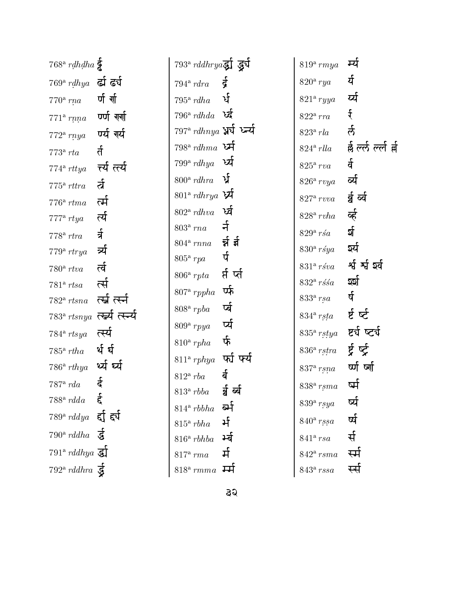|                      | $768^{\circ}$ rdhdha                         |                   |
|----------------------|----------------------------------------------|-------------------|
| $769^{\rm a}$        | rdhya                                        | र्दा ढर्प         |
| $770^{\circ}$ rna    |                                              | र्ण र्णा          |
|                      | $771^{\circ}$ rnna                           | ण्णी गर्गा        |
|                      | $772^{\circ}$ rnya                           | ण्यी गर्य         |
| 773 <sup>a</sup> rta |                                              | र्त               |
|                      | $774^{\circ}$ rttya                          | र्त्य त्त्यी      |
|                      | $775^{\circ}$ rttra                          | र्ल               |
| $776^{\rm a}$        | $r$ tma                                      | र्त्म             |
| $777^{\rm a}$ rtya   |                                              | र्त्य             |
| $778^{\circ}$ rtra   |                                              | र्न               |
|                      | $779^{\rm a}$ rtrya                          | र्त्र             |
| $780^{\rm a}$ rtva   |                                              | र्ल               |
| $781^{\rm a}$        | rtsa                                         | र्त्स             |
|                      | $782^{\circ}$ rtsna                          | र्त्स्न र्त्स्न   |
|                      | $783^{\rm a}$ rtsnya                         | र्त्स्च्य त्स्न्च |
|                      | $784$ <sup>a</sup> rtsya                     | र्त्स्य           |
| $785^{\circ}$ rtha   |                                              | र्थ र्घ           |
|                      | $786^{\circ}$ rthya                          | र्थ्य र्घ्य       |
| $787^{\circ}$ rda    |                                              | र्द               |
| $788^{\rm a}$ rdda   |                                              | र्द               |
|                      | $789^{\rm a}$ $rddya$ ही हर्य                |                   |
|                      | $790^{\circ}$ rddha $\frac{1}{56}$           |                   |
|                      | $791^{\circ}$ rddhya $\overline{\mathbf{S}}$ |                   |
|                      | $792^{\circ}$ rddhra                         |                   |
|                      |                                              |                   |

|                     |                                                       | $793^{\rm a}$ $rddhrya$ द्ध्यं द्ध्यं |
|---------------------|-------------------------------------------------------|---------------------------------------|
|                     | $794$ <sup>a</sup> $rdra$                             | र्दू                                  |
|                     | $795^{\circ}$ rdha                                    | ਖਿੰ                                   |
|                     | $796^{\circ}$ rdhda $\overrightarrow{c}$              |                                       |
|                     |                                                       | 797ª rdhnya धर्म छर्य                 |
|                     | $798^{\mathrm{a}}$ $rdhma$ धर्म                       |                                       |
|                     | $799$ <sup>a</sup> $rdhya$ धर्म                       |                                       |
|                     | $800^{\circ}$ rdhra $\quad \mathbf{\mathbf{\hat{Y}}}$ |                                       |
|                     | $801^{\circ}$ rdhrya धर्म                             |                                       |
|                     | $802^{\circ}$ rdhva ये                                |                                       |
| $803a$ rna          |                                                       | र्न                                   |
|                     | $804^{\rm a}$ $r n n a$                               | र्श्व ई                               |
| $805^{\circ}$ rpa   |                                                       | र्प                                   |
| $806^{\circ}$ rpta  |                                                       | र्स प्त                               |
|                     | $807^{\circ}$ rppha                                   | र्फ                                   |
| $808^{\circ}$ rpba  |                                                       | र्ष                                   |
|                     | $809^{\rm a}$ rpya                                    | र्ष                                   |
|                     | $810^{\circ} rpha$                                    | र्फ                                   |
|                     | $811^{\circ} rphya$                                   | र्फा फ्यं                             |
| $812^{\circ}$ rba   |                                                       | र्ब                                   |
| $813^{\circ} r bba$ |                                                       | र्ब र्ब्ब                             |
|                     | $814^{\rm a}\ rbb$ ha                                 | <u>थ्</u> न                           |
|                     | $815^{\circ} r bha$                                   | र्म                                   |
|                     | $816^{\rm a}\ rbhba$                                  | म्बी                                  |
|                     | $817^{\rm a}~rma$                                     | र्म                                   |
|                     | $818^{\rm a}~rmma$                                    | म्म                                   |

| $819^{\circ}$ rmya                 | र्म्य            |
|------------------------------------|------------------|
| $820^{\circ}$ rya                  | र्य              |
| $821^{\circ}$ ryya                 | र्या             |
| $822^{\circ}$ rra                  | $\ddot{t}$       |
| $823a$ rla                         | र्क              |
| $824$ <sup>a</sup> rlla            | र्म्न ल्ली ल्ली  |
| $825^{\circ}$ rva                  | र्व              |
| $826^{\circ}$ rvya                 | र्व्य            |
| $827^{\circ}$ rvva                 | र्ब्न र्ब्व      |
| $828^{\rm a}$ rvha                 | र्व्ह            |
| $829^{\circ}$ rs <sup>a</sup>      | र्ञ              |
| $830^{\circ}$ rsya                 | ञ्च              |
| $831^{\circ}$ rsva                 | र्श्व र्ष्य इर्व |
| $832^{\mathrm{a}}$ rśśa            | হহ্য             |
| $833^{\circ}$ rsa                  | र्ष              |
| $834^{\circ}$ rsta                 | र्ष ष्टी         |
| $835^{\circ}$ rstya                | ष्टर्य ष्टर्य    |
| 836 <sup>a</sup> rstra             | र्ष्ट प्र        |
| $837^{\circ}$ rsna                 | र्ष्ण र्ष्ण      |
| 838 <sup>a</sup> r <sub>5</sub> ma | ष्म              |
| $839^{\rm a}$<br>rsya              | r<br>ष्य         |
| $840^{\circ}$ rssa                 | र्ष्य            |
| $841^a$ rsa                        | र्म              |
| $842^{\rm a}~rsma$                 | र्म्म            |
| $843^{\rm a}~rssa$                 | र्म्स            |

ÌÌ ++aÅR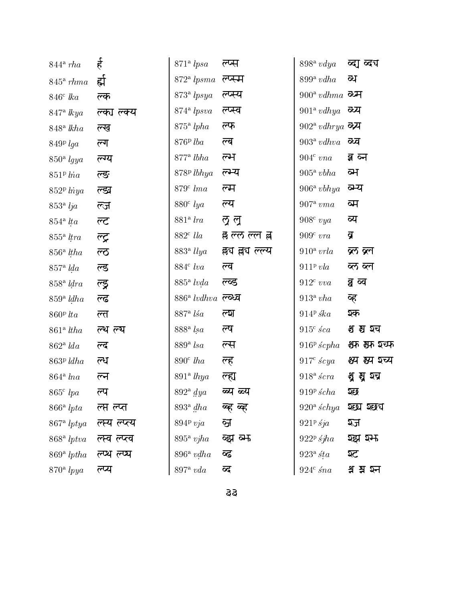| $844^{\circ}$ rha               | $\frac{4}{5}$      | 871 <sup>a</sup> lpsa    | ल्प्स           | $898^{\rm a}$ vdya                         | ब्दा ब्दग      |
|---------------------------------|--------------------|--------------------------|-----------------|--------------------------------------------|----------------|
| $845^{\circ}$ rhma              | ह्मे               | $872a$ lpsma             | ल्प्स्म         | $899^{\rm a}$ vdha                         | व्य            |
| $846^{\circ}$ lka               | ल्क                | $873a$ lpsya             | ल्प्स्य         | $900^{\circ}$ vdhma $\overline{\text{ot}}$ |                |
| $847$ <sup>a</sup> lkya         | ल्का ल्क्य         | $874$ <sup>a</sup> lpsva | ल्प्स्व         | $901^{\mathrm{a}}$ $vdhya$ $\sigma$ य      |                |
| $848^{\circ}$ lkha              | ल्ख                | $875$ <sup>a</sup> lpha  | ल्फ             | $902^{\circ}$ vdhrya <b>व्य</b>            |                |
| $849P$ lga                      | ल्ग                | $876P$ lba               | ल्ब             | $903^{\mathrm{a}}$ vdhva                   | ळव             |
| $850a$ lgya                     | ल्ग्य              | $877^{\mathrm{a}}$ lbha  | ल्म             | $904^{\circ}$ $vna$                        | व्न ब्न        |
| $851P$ lna                      | ल्ङ                | $878P$ lbhya             | ल्म्य           | $905^{\circ}$ vbha                         | व्म            |
| $852P$ lnya                     | ल्ङ्य              | $879c$ lma               | ल्म             | $906^{\rm a}$ vbhya                        | व्म्य          |
| $853a$ lja                      | ल्ज                | $880^{\circ}$ lya        | ल्य             | $907^{\circ}$ vma                          | ब्म            |
| $854$ <sup>a</sup> lta          | ल्ट $\overline{C}$ | $881a$ lra               | ल्र ल           | $908c$ vya                                 | ब्य            |
| $855$ <sup>a</sup> <i>ltra</i>  | ल्ट्र              | $882^{\circ}$ lla        | ह्र ल्ल ल्ल ह्र | $909c$ vra                                 | ब्र            |
| $856a$ ltha                     | ল্ত                | 883 <sup>a</sup> llya    | क्लप लय ल्ल्य   | $910^{\circ}$ vrla                         | ब्ल ब्ल        |
| $857a$ lda                      | ल्ड                | $884^{\circ}$ lva        | ल्व             | $911^p$ vla                                | ब्ल ब्ल        |
| $858a$ ldra                     | ल्ड्र              | $885^{\circ}$ lvda       | ल्व्ड           | $912^{\circ}$ vva                          | व्व व्व        |
| $859a$ ldha                     | ल्ढ                | $886^{\circ}$ lvdhva     | ल्ळव            | $913^a$ vha                                | व्ह            |
| $860P$ lta                      | ल्त                | $887$ <sup>a</sup> lsa   | ল্মে            | $914P$ ska                                 | ञ्क            |
| $861$ <sup>a</sup> ltha         | ल्थ ल्य            | $888a$ lsa               | ल्ष             | $915c$ sca                                 | श्च श्च घ      |
| $862a$ lda                      | ल्द                | $889^{\circ}$ lsa        | ल्स             | $916^{\rm p}$ ścpha                        | श्रम श्रम श्चम |
| $863P$ ldha                     | ल्ध                | $890^{\circ}$ lha        | ल्ह             | $917^{\circ}$ scya                         | श्य झ्य ञ्च्य  |
| $864$ <sup>a</sup> lna          | ल्न                | $891a$ lhya              | ल्ह्य           | $918^{\circ}$ scra                         | भु मु श्च      |
| $865^{\circ}$ lpa               | ल्प                | $892^{\circ}$ dya        | ब्य ब्र्य       | $919P \, \acute{s}cha$                     | হछ             |
| $866^{\circ}$ lpta              | ल्प्त ल्प्त        | $893a$ dha               | व्ह व्ह         | $920^{\circ}$ schya                        | श्छा श्छप      |
| $867$ <sup>a</sup> lptya        | ल्स्य ल्प्त्य      | $894P$ vja               | ञ्ज             | $921p$ sja                                 | श्ज            |
| $868$ <sup>a</sup> <i>lptva</i> | ल्स्व ल्प्ल्व      | $895^{\circ}$ vjha       | ब्झ ब्म         | $922^p$ sjha                               | श्झ श्म        |
| $869^{\circ}$ lptha             | ल्प्य ल्प्य        | $896^{\circ}$ vdha       | ब्द             | $923a$ sta                                 | ञ्ट            |
| $870^{\circ}$ lpya              | ल्प्य              | $897^{\rm a}$ $vda$      | ब्द             | $924^c$ sna                                | क्ष झ श्च      |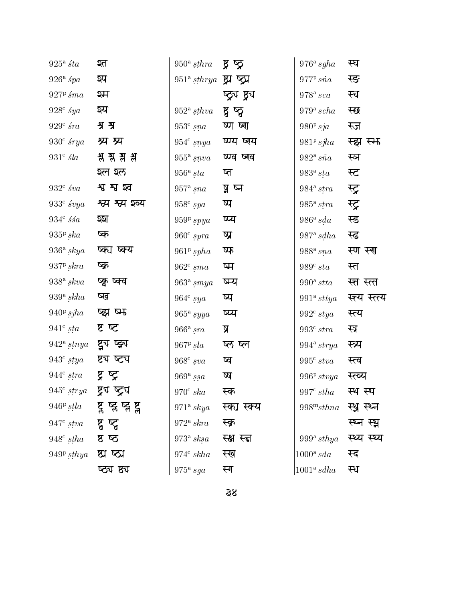| $925^{\circ}$ sta   | श्त                     | $950^{\circ}$ sthra     | ष्ठ ष्ठ         | $976^{\mathrm{a}}$ sgha        | स्घ           |
|---------------------|-------------------------|-------------------------|-----------------|--------------------------------|---------------|
| $926^{\circ}$ spa   | ञ्प                     | $951a$ sthrya           | ष्ट्र प्र       | 977P, sina                     | स्ङ           |
| $927P \,$ sma       | श्म                     |                         | ष्ठ्रंग ष्ठ्रंग | $978^{\mathrm{a}}\,sca$        | स्च           |
| $928^{\circ}$ sya   | ञ्य                     | $952^{\circ}$ sthva     | ष्ठ ष्ठ         | $979^{\mathrm{a}} \, scha$     | स्छ           |
| $929^{\circ}$ sra   | श्र श्र                 | $953c$ sna              | ष्ण ष्ण         | $980P$ sja                     | स्ज           |
| $930^{\circ}$ srya  | श्र्य श्र्प             | $954^c$ snya            | ष्ण्य ष्णय      | $981P$ sjha                    | स्झ स्म       |
| $931^{\circ}$ sla   | श्ल श्ल क्ष             | $955^{\rm a}\,snva$     | ष्ण्व ष्णव      | $982^{\mathrm{a}} s\tilde{n}a$ | स्ञ           |
|                     | श्ल श्ल                 | $956^{\circ}$ sta       | ष्त             | $983^{\circ}$ sta              | स्ट           |
| $932^{\circ}$ sva   | श्व श्व श्व             | $957^{\circ}$ sna       | ष्ठ ष्न         | $984$ <sup>a</sup> stra        | स्ट्र         |
| $933^{\circ}$ svya  | श्व्य श्व्य इव्य        | $958^{\rm c}$<br>$spa$  | ष्प             | $985^{\circ}$ stra             | स्ट्र         |
| $934c$ ssa          | হহা                     | $9\,59^{\rm p}\,spya$   | ष्प्य           | $986^{\rm a}\,sda$             | स्ड           |
| $935p$ ska          | ष्क                     | $960^{\rm c}$ $spra$    | ष्प्र           | $987^{\mathrm{a}}$ sdha        | स्ढ           |
| $936^{\circ}$ skya  | ष्का ष्क्य              | $961P$ spha             | ष्फ             | $988^{\rm a}\, sna$            | स्ण स्ग       |
| $937P$ skra         | ष्क्र                   | $962^{\circ}$ sma       | ष्म             | $989^{\circ}$ sta              | स्त           |
| $938^{\circ}$ skva  | ष्कु ष्क्व              | $963a$ smya             | ष्म्य           | $990^{\rm a}$ stta             | स्त स्त्त     |
| $939^{\circ}$ skha  | ष्ख                     | $964^{\circ}$ sya       | ष्य             | $991^a$ sttya                  | स्त्य स्त्त्य |
| $940^{\rm p}$ sjha  | ष्ट्य ष्म               | $965^{\rm a}$ syya      | ष्प्य           | $992^{\circ}$ stya             | स्त्य         |
| $941^{\rm c}\,sta$  | ष्ट छ                   | $966^{\circ}$ sra       | प्र             | $993^{\rm c}\,stra$            | स्त्र         |
| $942^{\circ}$ stnya | ष्ट्रुय ष्ट्र्य         | $967P$ sla              | ष्ठ ष्ल         | $994$ <sup>a</sup> strya       | स्त्र्य       |
| $943^{\circ}$ stya  | ष्ट्य ष्ट्य             | $968^{\circ}$ sva       | ष्व             | $995^{\circ}$ stva             | स्त्व         |
| $944^{\rm c}\,stra$ | प्न प्र                 | $969^{\rm a}\, ssa$     | ष्प             | $996P$ stvya                   | स्ल्य         |
| $945^{\circ}$ strya | ष्ट्र्य ष्ट्र्य         | $970^{\circ}$ ska       | स्क             | $997^{\circ}$ stha             | स्थ स्थ       |
| $946P$ stla         | ष्ट्र ष्ट्र ष्ट्र ष्ट्र | $971a$ skya             | स्का स्क्य      | $998^m$ sthna                  | स्थ्र स्थ्न   |
| $947^{\circ}$ stva  | ष्ट्र प्ल               | $972a$ skra             | स्क्र           |                                | स्घ्न स्थ     |
| $948^{\circ}$ stha  | ष्ठ ष                   | $973^{\rm a}$<br>$sksa$ | स्क्ष स्त्न     | 999 $a$ sthya                  | स्थ्य स्थ्य   |
| $949^p$ sthya       | ष्ठा ष्ठा               | $974^c$ skha            | स्ख             | $1000^{\rm a}$ sda             | स्द           |
|                     | ष्ठ्य ष्ठ्य             | $975^{\circ}$ sga       | स्ग             | $1001^a$ sdha                  | स्थ           |